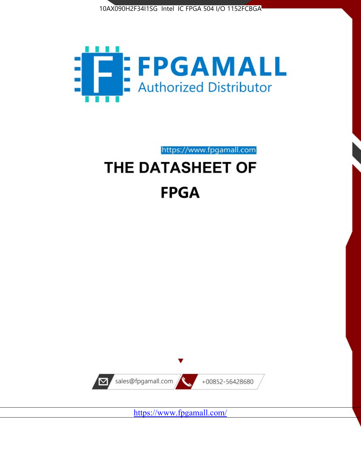



https://www.fpgamall.com

# THE DATASHEET OF **FPGA**



<https://www.fpgamall.com/>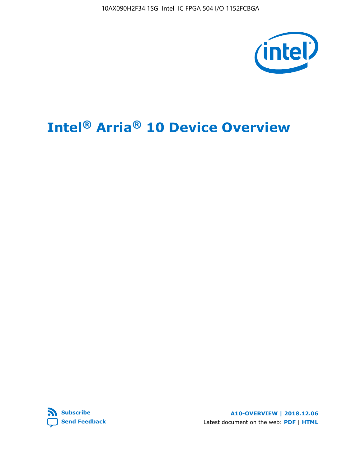10AX090H2F34I1SG Intel IC FPGA 504 I/O 1152FCBGA



# **Intel® Arria® 10 Device Overview**



**A10-OVERVIEW | 2018.12.06** Latest document on the web: **[PDF](https://www.intel.com/content/dam/www/programmable/us/en/pdfs/literature/hb/arria-10/a10_overview.pdf)** | **[HTML](https://www.intel.com/content/www/us/en/programmable/documentation/sam1403480274650.html)**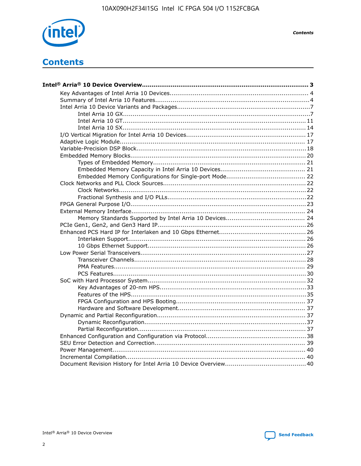

**Contents** 

# **Contents**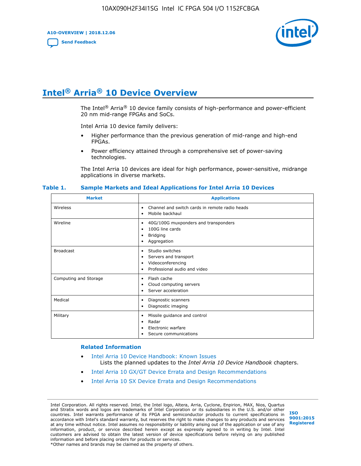**A10-OVERVIEW | 2018.12.06**

**[Send Feedback](mailto:FPGAtechdocfeedback@intel.com?subject=Feedback%20on%20Intel%20Arria%2010%20Device%20Overview%20(A10-OVERVIEW%202018.12.06)&body=We%20appreciate%20your%20feedback.%20In%20your%20comments,%20also%20specify%20the%20page%20number%20or%20paragraph.%20Thank%20you.)**



# **Intel® Arria® 10 Device Overview**

The Intel<sup>®</sup> Arria<sup>®</sup> 10 device family consists of high-performance and power-efficient 20 nm mid-range FPGAs and SoCs.

Intel Arria 10 device family delivers:

- Higher performance than the previous generation of mid-range and high-end FPGAs.
- Power efficiency attained through a comprehensive set of power-saving technologies.

The Intel Arria 10 devices are ideal for high performance, power-sensitive, midrange applications in diverse markets.

| <b>Market</b>         | <b>Applications</b>                                                                                               |
|-----------------------|-------------------------------------------------------------------------------------------------------------------|
| Wireless              | Channel and switch cards in remote radio heads<br>٠<br>Mobile backhaul<br>٠                                       |
| Wireline              | 40G/100G muxponders and transponders<br>٠<br>100G line cards<br>٠<br><b>Bridging</b><br>٠<br>Aggregation<br>٠     |
| <b>Broadcast</b>      | Studio switches<br>٠<br>Servers and transport<br>٠<br>Videoconferencing<br>٠<br>Professional audio and video<br>٠ |
| Computing and Storage | Flash cache<br>٠<br>Cloud computing servers<br>٠<br>Server acceleration<br>٠                                      |
| Medical               | Diagnostic scanners<br>٠<br>Diagnostic imaging<br>٠                                                               |
| Military              | Missile guidance and control<br>٠<br>Radar<br>٠<br>Electronic warfare<br>٠<br>Secure communications<br>٠          |

#### **Table 1. Sample Markets and Ideal Applications for Intel Arria 10 Devices**

#### **Related Information**

- [Intel Arria 10 Device Handbook: Known Issues](http://www.altera.com/support/kdb/solutions/rd07302013_646.html) Lists the planned updates to the *Intel Arria 10 Device Handbook* chapters.
- [Intel Arria 10 GX/GT Device Errata and Design Recommendations](https://www.intel.com/content/www/us/en/programmable/documentation/agz1493851706374.html#yqz1494433888646)
- [Intel Arria 10 SX Device Errata and Design Recommendations](https://www.intel.com/content/www/us/en/programmable/documentation/cru1462832385668.html#cru1462832558642)

Intel Corporation. All rights reserved. Intel, the Intel logo, Altera, Arria, Cyclone, Enpirion, MAX, Nios, Quartus and Stratix words and logos are trademarks of Intel Corporation or its subsidiaries in the U.S. and/or other countries. Intel warrants performance of its FPGA and semiconductor products to current specifications in accordance with Intel's standard warranty, but reserves the right to make changes to any products and services at any time without notice. Intel assumes no responsibility or liability arising out of the application or use of any information, product, or service described herein except as expressly agreed to in writing by Intel. Intel customers are advised to obtain the latest version of device specifications before relying on any published information and before placing orders for products or services. \*Other names and brands may be claimed as the property of others.

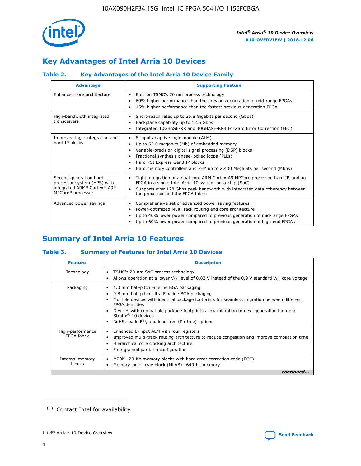

# **Key Advantages of Intel Arria 10 Devices**

## **Table 2. Key Advantages of the Intel Arria 10 Device Family**

| <b>Advantage</b>                                                                                          | <b>Supporting Feature</b>                                                                                                                                                                                                                                                                                                |
|-----------------------------------------------------------------------------------------------------------|--------------------------------------------------------------------------------------------------------------------------------------------------------------------------------------------------------------------------------------------------------------------------------------------------------------------------|
| Enhanced core architecture                                                                                | Built on TSMC's 20 nm process technology<br>٠<br>60% higher performance than the previous generation of mid-range FPGAs<br>٠<br>15% higher performance than the fastest previous-generation FPGA<br>٠                                                                                                                    |
| High-bandwidth integrated<br>transceivers                                                                 | Short-reach rates up to 25.8 Gigabits per second (Gbps)<br>٠<br>Backplane capability up to 12.5 Gbps<br>٠<br>Integrated 10GBASE-KR and 40GBASE-KR4 Forward Error Correction (FEC)<br>٠                                                                                                                                   |
| Improved logic integration and<br>hard IP blocks                                                          | 8-input adaptive logic module (ALM)<br>٠<br>Up to 65.6 megabits (Mb) of embedded memory<br>٠<br>Variable-precision digital signal processing (DSP) blocks<br>Fractional synthesis phase-locked loops (PLLs)<br>Hard PCI Express Gen3 IP blocks<br>Hard memory controllers and PHY up to 2,400 Megabits per second (Mbps) |
| Second generation hard<br>processor system (HPS) with<br>integrated ARM* Cortex*-A9*<br>MPCore* processor | Tight integration of a dual-core ARM Cortex-A9 MPCore processor, hard IP, and an<br>٠<br>FPGA in a single Intel Arria 10 system-on-a-chip (SoC)<br>Supports over 128 Gbps peak bandwidth with integrated data coherency between<br>$\bullet$<br>the processor and the FPGA fabric                                        |
| Advanced power savings                                                                                    | Comprehensive set of advanced power saving features<br>٠<br>Power-optimized MultiTrack routing and core architecture<br>٠<br>Up to 40% lower power compared to previous generation of mid-range FPGAs<br>٠<br>Up to 60% lower power compared to previous generation of high-end FPGAs<br>٠                               |

# **Summary of Intel Arria 10 Features**

## **Table 3. Summary of Features for Intel Arria 10 Devices**

| <b>Feature</b>                  | <b>Description</b>                                                                                                                                                                                                                                                                                                                                                                                       |
|---------------------------------|----------------------------------------------------------------------------------------------------------------------------------------------------------------------------------------------------------------------------------------------------------------------------------------------------------------------------------------------------------------------------------------------------------|
| Technology                      | TSMC's 20-nm SoC process technology<br>٠<br>Allows operation at a lower $V_{\text{CC}}$ level of 0.82 V instead of the 0.9 V standard $V_{\text{CC}}$ core voltage                                                                                                                                                                                                                                       |
| Packaging                       | 1.0 mm ball-pitch Fineline BGA packaging<br>0.8 mm ball-pitch Ultra Fineline BGA packaging<br>Multiple devices with identical package footprints for seamless migration between different<br><b>FPGA</b> densities<br>Devices with compatible package footprints allow migration to next generation high-end<br>Stratix $\mathcal{R}$ 10 devices<br>RoHS, leaded $(1)$ , and lead-free (Pb-free) options |
| High-performance<br>FPGA fabric | Enhanced 8-input ALM with four registers<br>٠<br>Improved multi-track routing architecture to reduce congestion and improve compilation time<br>Hierarchical core clocking architecture<br>Fine-grained partial reconfiguration                                                                                                                                                                          |
| Internal memory<br>blocks       | M20K-20-Kb memory blocks with hard error correction code (ECC)<br>Memory logic array block (MLAB)-640-bit memory                                                                                                                                                                                                                                                                                         |
|                                 | continued                                                                                                                                                                                                                                                                                                                                                                                                |



<sup>(1)</sup> Contact Intel for availability.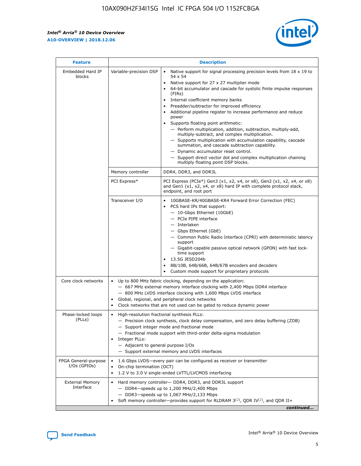$\mathsf{r}$ 



| <b>Feature</b>                         |                                                                                                                | <b>Description</b>                                                                                                                                                                                                                                                                                                                                                                                                                                                                                                                                                                                                                                                                                                                                                                                                                     |  |  |  |  |  |  |
|----------------------------------------|----------------------------------------------------------------------------------------------------------------|----------------------------------------------------------------------------------------------------------------------------------------------------------------------------------------------------------------------------------------------------------------------------------------------------------------------------------------------------------------------------------------------------------------------------------------------------------------------------------------------------------------------------------------------------------------------------------------------------------------------------------------------------------------------------------------------------------------------------------------------------------------------------------------------------------------------------------------|--|--|--|--|--|--|
| Embedded Hard IP<br>blocks             | Variable-precision DSP                                                                                         | Native support for signal processing precision levels from $18 \times 19$ to<br>54 x 54<br>Native support for 27 x 27 multiplier mode<br>64-bit accumulator and cascade for systolic finite impulse responses<br>(FIRs)<br>Internal coefficient memory banks<br>$\bullet$<br>Preadder/subtractor for improved efficiency<br>Additional pipeline register to increase performance and reduce<br>power<br>Supports floating point arithmetic:<br>- Perform multiplication, addition, subtraction, multiply-add,<br>multiply-subtract, and complex multiplication.<br>- Supports multiplication with accumulation capability, cascade<br>summation, and cascade subtraction capability.<br>- Dynamic accumulator reset control.<br>- Support direct vector dot and complex multiplication chaining<br>multiply floating point DSP blocks. |  |  |  |  |  |  |
|                                        | Memory controller                                                                                              | DDR4, DDR3, and DDR3L                                                                                                                                                                                                                                                                                                                                                                                                                                                                                                                                                                                                                                                                                                                                                                                                                  |  |  |  |  |  |  |
|                                        | PCI Express*                                                                                                   | PCI Express (PCIe*) Gen3 (x1, x2, x4, or x8), Gen2 (x1, x2, x4, or x8)<br>and Gen1 (x1, x2, x4, or x8) hard IP with complete protocol stack,<br>endpoint, and root port                                                                                                                                                                                                                                                                                                                                                                                                                                                                                                                                                                                                                                                                |  |  |  |  |  |  |
|                                        | Transceiver I/O                                                                                                | 10GBASE-KR/40GBASE-KR4 Forward Error Correction (FEC)<br>PCS hard IPs that support:<br>$\bullet$<br>- 10-Gbps Ethernet (10GbE)<br>- PCIe PIPE interface<br>$-$ Interlaken<br>- Gbps Ethernet (GbE)<br>- Common Public Radio Interface (CPRI) with deterministic latency<br>support<br>- Gigabit-capable passive optical network (GPON) with fast lock-<br>time support<br>13.5G JESD204b<br>$\bullet$<br>8B/10B, 64B/66B, 64B/67B encoders and decoders<br>Custom mode support for proprietary protocols                                                                                                                                                                                                                                                                                                                               |  |  |  |  |  |  |
| Core clock networks                    | $\bullet$<br>$\bullet$                                                                                         | Up to 800 MHz fabric clocking, depending on the application:<br>- 667 MHz external memory interface clocking with 2,400 Mbps DDR4 interface<br>- 800 MHz LVDS interface clocking with 1,600 Mbps LVDS interface<br>Global, regional, and peripheral clock networks<br>Clock networks that are not used can be gated to reduce dynamic power                                                                                                                                                                                                                                                                                                                                                                                                                                                                                            |  |  |  |  |  |  |
| Phase-locked loops<br>(PLLs)           | High-resolution fractional synthesis PLLs:<br>$\bullet$<br>Integer PLLs:<br>- Adjacent to general purpose I/Os | - Precision clock synthesis, clock delay compensation, and zero delay buffering (ZDB)<br>- Support integer mode and fractional mode<br>- Fractional mode support with third-order delta-sigma modulation<br>- Support external memory and LVDS interfaces                                                                                                                                                                                                                                                                                                                                                                                                                                                                                                                                                                              |  |  |  |  |  |  |
| FPGA General-purpose<br>$I/Os$ (GPIOs) | On-chip termination (OCT)                                                                                      | 1.6 Gbps LVDS-every pair can be configured as receiver or transmitter<br>1.2 V to 3.0 V single-ended LVTTL/LVCMOS interfacing                                                                                                                                                                                                                                                                                                                                                                                                                                                                                                                                                                                                                                                                                                          |  |  |  |  |  |  |
| <b>External Memory</b><br>Interface    |                                                                                                                | Hard memory controller- DDR4, DDR3, and DDR3L support<br>$-$ DDR4-speeds up to 1,200 MHz/2,400 Mbps<br>- DDR3-speeds up to 1,067 MHz/2,133 Mbps<br>Soft memory controller—provides support for RLDRAM $3^{(2)}$ , QDR IV $^{(2)}$ , and QDR II+<br>continued                                                                                                                                                                                                                                                                                                                                                                                                                                                                                                                                                                           |  |  |  |  |  |  |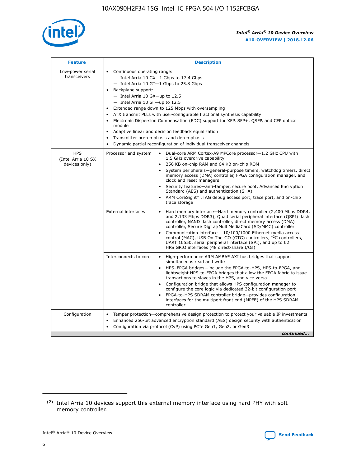

| <b>Feature</b>                                    | <b>Description</b>                                                                                                                                                                                                                                                                                                                                                                                                                                                                                                                                                                                                                                    |
|---------------------------------------------------|-------------------------------------------------------------------------------------------------------------------------------------------------------------------------------------------------------------------------------------------------------------------------------------------------------------------------------------------------------------------------------------------------------------------------------------------------------------------------------------------------------------------------------------------------------------------------------------------------------------------------------------------------------|
| Low-power serial<br>transceivers                  | • Continuous operating range:<br>- Intel Arria 10 GX-1 Gbps to 17.4 Gbps<br>- Intel Arria 10 GT-1 Gbps to 25.8 Gbps<br>Backplane support:<br>$-$ Intel Arria 10 GX-up to 12.5<br>- Intel Arria 10 GT-up to 12.5<br>Extended range down to 125 Mbps with oversampling<br>ATX transmit PLLs with user-configurable fractional synthesis capability<br>Electronic Dispersion Compensation (EDC) support for XFP, SFP+, QSFP, and CFP optical<br>module<br>Adaptive linear and decision feedback equalization<br>$\bullet$<br>Transmitter pre-emphasis and de-emphasis<br>$\bullet$<br>Dynamic partial reconfiguration of individual transceiver channels |
| <b>HPS</b><br>(Intel Arria 10 SX<br>devices only) | • Dual-core ARM Cortex-A9 MPCore processor-1.2 GHz CPU with<br>Processor and system<br>1.5 GHz overdrive capability<br>256 KB on-chip RAM and 64 KB on-chip ROM<br>$\bullet$<br>System peripherals—general-purpose timers, watchdog timers, direct<br>memory access (DMA) controller, FPGA configuration manager, and<br>clock and reset managers<br>Security features—anti-tamper, secure boot, Advanced Encryption<br>$\bullet$<br>Standard (AES) and authentication (SHA)<br>ARM CoreSight* JTAG debug access port, trace port, and on-chip<br>$\bullet$<br>trace storage                                                                          |
|                                                   | <b>External interfaces</b><br>Hard memory interface-Hard memory controller (2,400 Mbps DDR4,<br>$\bullet$<br>and 2,133 Mbps DDR3), Quad serial peripheral interface (QSPI) flash<br>controller, NAND flash controller, direct memory access (DMA)<br>controller, Secure Digital/MultiMediaCard (SD/MMC) controller<br>Communication interface-10/100/1000 Ethernet media access<br>$\bullet$<br>control (MAC), USB On-The-GO (OTG) controllers, I <sup>2</sup> C controllers,<br>UART 16550, serial peripheral interface (SPI), and up to 62<br>HPS GPIO interfaces (48 direct-share I/Os)                                                            |
|                                                   | High-performance ARM AMBA* AXI bus bridges that support<br>Interconnects to core<br>$\bullet$<br>simultaneous read and write<br>HPS-FPGA bridges-include the FPGA-to-HPS, HPS-to-FPGA, and<br>$\bullet$<br>lightweight HPS-to-FPGA bridges that allow the FPGA fabric to issue<br>transactions to slaves in the HPS, and vice versa<br>Configuration bridge that allows HPS configuration manager to<br>configure the core logic via dedicated 32-bit configuration port<br>FPGA-to-HPS SDRAM controller bridge-provides configuration<br>interfaces for the multiport front end (MPFE) of the HPS SDRAM<br>controller                                |
| Configuration                                     | Tamper protection—comprehensive design protection to protect your valuable IP investments<br>Enhanced 256-bit advanced encryption standard (AES) design security with authentication<br>٠<br>Configuration via protocol (CvP) using PCIe Gen1, Gen2, or Gen3<br>continued                                                                                                                                                                                                                                                                                                                                                                             |

<sup>(2)</sup> Intel Arria 10 devices support this external memory interface using hard PHY with soft memory controller.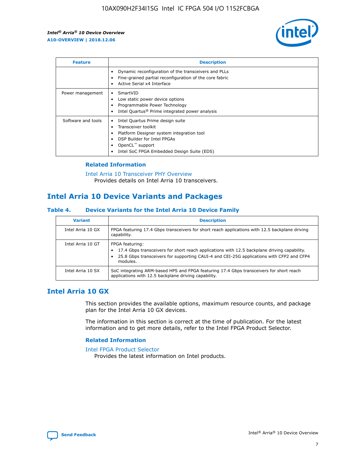

| <b>Feature</b>     | <b>Description</b>                                                                                                                                                                                               |
|--------------------|------------------------------------------------------------------------------------------------------------------------------------------------------------------------------------------------------------------|
|                    | Dynamic reconfiguration of the transceivers and PLLs<br>Fine-grained partial reconfiguration of the core fabric<br>Active Serial x4 Interface<br>$\bullet$                                                       |
| Power management   | SmartVID<br>Low static power device options<br>Programmable Power Technology<br>Intel Quartus <sup>®</sup> Prime integrated power analysis                                                                       |
| Software and tools | Intel Quartus Prime design suite<br>Transceiver toolkit<br>Platform Designer system integration tool<br>DSP Builder for Intel FPGAs<br>OpenCL <sup>™</sup> support<br>Intel SoC FPGA Embedded Design Suite (EDS) |

## **Related Information**

[Intel Arria 10 Transceiver PHY Overview](https://www.intel.com/content/www/us/en/programmable/documentation/nik1398707230472.html#nik1398706768037) Provides details on Intel Arria 10 transceivers.

## **Intel Arria 10 Device Variants and Packages**

#### **Table 4. Device Variants for the Intel Arria 10 Device Family**

| <b>Variant</b>    | <b>Description</b>                                                                                                                                                                                                     |
|-------------------|------------------------------------------------------------------------------------------------------------------------------------------------------------------------------------------------------------------------|
| Intel Arria 10 GX | FPGA featuring 17.4 Gbps transceivers for short reach applications with 12.5 backplane driving<br>capability.                                                                                                          |
| Intel Arria 10 GT | FPGA featuring:<br>17.4 Gbps transceivers for short reach applications with 12.5 backplane driving capability.<br>25.8 Gbps transceivers for supporting CAUI-4 and CEI-25G applications with CFP2 and CFP4<br>modules. |
| Intel Arria 10 SX | SoC integrating ARM-based HPS and FPGA featuring 17.4 Gbps transceivers for short reach<br>applications with 12.5 backplane driving capability.                                                                        |

## **Intel Arria 10 GX**

This section provides the available options, maximum resource counts, and package plan for the Intel Arria 10 GX devices.

The information in this section is correct at the time of publication. For the latest information and to get more details, refer to the Intel FPGA Product Selector.

#### **Related Information**

#### [Intel FPGA Product Selector](http://www.altera.com/products/selector/psg-selector.html) Provides the latest information on Intel products.

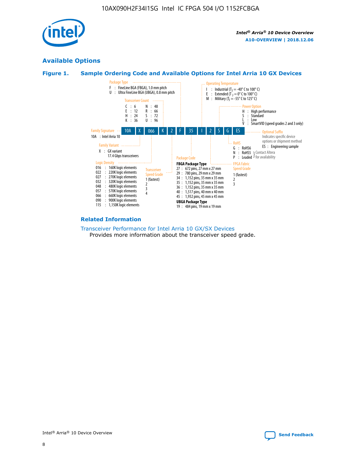

## **Available Options**





#### **Related Information**

[Transceiver Performance for Intel Arria 10 GX/SX Devices](https://www.intel.com/content/www/us/en/programmable/documentation/mcn1413182292568.html#mcn1413213965502) Provides more information about the transceiver speed grade.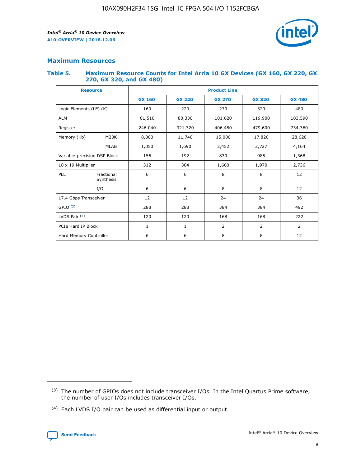

## **Maximum Resources**

#### **Table 5. Maximum Resource Counts for Intel Arria 10 GX Devices (GX 160, GX 220, GX 270, GX 320, and GX 480)**

| <b>Resource</b>              |                         | <b>Product Line</b> |                   |                    |                |                |  |  |  |
|------------------------------|-------------------------|---------------------|-------------------|--------------------|----------------|----------------|--|--|--|
|                              |                         | <b>GX 160</b>       | <b>GX 220</b>     | <b>GX 270</b>      | <b>GX 320</b>  | <b>GX 480</b>  |  |  |  |
| Logic Elements (LE) (K)      |                         | 160                 | 220               | 270                | 320            | 480            |  |  |  |
| <b>ALM</b>                   |                         | 61,510              | 80,330            | 101,620            | 119,900        | 183,590        |  |  |  |
| Register                     |                         | 246,040             | 321,320           | 406,480<br>479,600 |                | 734,360        |  |  |  |
| Memory (Kb)                  | M <sub>20</sub> K       | 8,800               | 11,740<br>15,000  |                    | 17,820         | 28,620         |  |  |  |
|                              | <b>MLAB</b>             | 1,050               | 1,690             |                    | 2,727          | 4,164          |  |  |  |
| Variable-precision DSP Block |                         | 156                 | 192<br>830<br>985 |                    |                | 1,368          |  |  |  |
| 18 x 19 Multiplier           |                         | 312                 | 384               | 1,970<br>1,660     |                | 2,736          |  |  |  |
| PLL                          | Fractional<br>Synthesis | 6                   | 6                 | 8                  | 8              | 12             |  |  |  |
|                              | I/O                     | 6                   | 6                 | 8                  | 8              | 12             |  |  |  |
| 17.4 Gbps Transceiver        |                         | 12                  | 12                | 24                 | 24             |                |  |  |  |
| GPIO <sup>(3)</sup>          |                         | 288                 | 288               | 384<br>384         |                | 492            |  |  |  |
| LVDS Pair $(4)$              |                         | 120                 | 120               | 168                | 168            | 222            |  |  |  |
| PCIe Hard IP Block           |                         | 1                   | 1                 | 2                  | $\overline{2}$ | $\overline{2}$ |  |  |  |
| Hard Memory Controller       |                         | 6                   | 6                 | 8                  | 8              | 12             |  |  |  |

<sup>(4)</sup> Each LVDS I/O pair can be used as differential input or output.



<sup>(3)</sup> The number of GPIOs does not include transceiver I/Os. In the Intel Quartus Prime software, the number of user I/Os includes transceiver I/Os.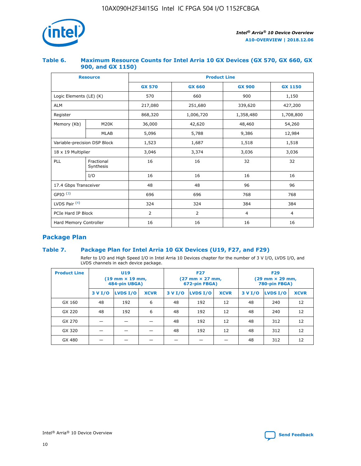

## **Table 6. Maximum Resource Counts for Intel Arria 10 GX Devices (GX 570, GX 660, GX 900, and GX 1150)**

|                              | <b>Resource</b>         | <b>Product Line</b> |                |                |                |  |  |  |
|------------------------------|-------------------------|---------------------|----------------|----------------|----------------|--|--|--|
|                              |                         | <b>GX 570</b>       | <b>GX 660</b>  | <b>GX 900</b>  | <b>GX 1150</b> |  |  |  |
| Logic Elements (LE) (K)      |                         | 570                 | 660            | 900            | 1,150          |  |  |  |
| <b>ALM</b>                   |                         | 217,080             | 251,680        | 339,620        | 427,200        |  |  |  |
| Register                     |                         | 868,320             | 1,006,720      | 1,358,480      | 1,708,800      |  |  |  |
| Memory (Kb)                  | <b>M20K</b>             | 36,000              | 42,620         | 48,460         | 54,260         |  |  |  |
|                              | <b>MLAB</b>             | 5,096               | 5,788          | 9,386          | 12,984         |  |  |  |
| Variable-precision DSP Block |                         | 1,523               | 1,687          | 1,518          | 1,518          |  |  |  |
| 18 x 19 Multiplier           |                         | 3,046               | 3,374          | 3,036          | 3,036          |  |  |  |
| PLL                          | Fractional<br>Synthesis | 16                  | 16             | 32             | 32             |  |  |  |
|                              | I/O                     | 16                  | 16             | 16             | 16             |  |  |  |
| 17.4 Gbps Transceiver        |                         | 48                  | 48             | 96             | 96             |  |  |  |
| GPIO <sup>(3)</sup>          |                         | 696                 | 696            | 768            | 768            |  |  |  |
| LVDS Pair $(4)$              |                         | 324                 | 324            | 384            | 384            |  |  |  |
| PCIe Hard IP Block           |                         | 2                   | $\overline{2}$ | $\overline{4}$ | $\overline{4}$ |  |  |  |
| Hard Memory Controller       |                         | 16                  | 16             | 16             | 16             |  |  |  |

## **Package Plan**

## **Table 7. Package Plan for Intel Arria 10 GX Devices (U19, F27, and F29)**

Refer to I/O and High Speed I/O in Intel Arria 10 Devices chapter for the number of 3 V I/O, LVDS I/O, and LVDS channels in each device package.

| <b>Product Line</b> | U <sub>19</sub><br>$(19 \text{ mm} \times 19 \text{ mm})$<br>484-pin UBGA) |          |             |         | <b>F27</b><br>(27 mm × 27 mm,<br>672-pin FBGA) |             | <b>F29</b><br>(29 mm × 29 mm,<br>780-pin FBGA) |          |             |  |
|---------------------|----------------------------------------------------------------------------|----------|-------------|---------|------------------------------------------------|-------------|------------------------------------------------|----------|-------------|--|
|                     | 3 V I/O                                                                    | LVDS I/O | <b>XCVR</b> | 3 V I/O | LVDS I/O                                       | <b>XCVR</b> | 3 V I/O                                        | LVDS I/O | <b>XCVR</b> |  |
| GX 160              | 48                                                                         | 192      | 6           | 48      | 192                                            | 12          | 48                                             | 240      | 12          |  |
| GX 220              | 48                                                                         | 192      | 6           | 48      | 192                                            | 12          | 48                                             | 240      | 12          |  |
| GX 270              |                                                                            |          |             | 48      | 192                                            | 12          | 48                                             | 312      | 12          |  |
| GX 320              |                                                                            |          |             | 48      | 192                                            | 12          | 48                                             | 312      | 12          |  |
| GX 480              |                                                                            |          |             |         |                                                |             | 48                                             | 312      | 12          |  |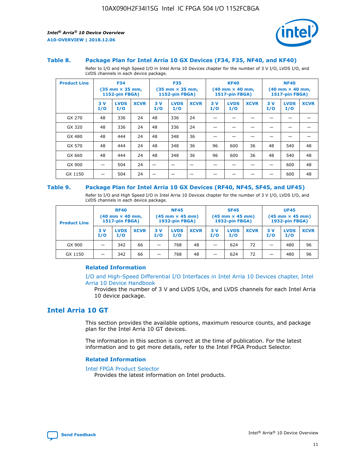



#### **Table 8. Package Plan for Intel Arria 10 GX Devices (F34, F35, NF40, and KF40)**

Refer to I/O and High Speed I/O in Intel Arria 10 Devices chapter for the number of 3 V I/O, LVDS I/O, and LVDS channels in each device package.

| <b>Product Line</b> | <b>F34</b><br>$(35 \text{ mm} \times 35 \text{ mm})$<br>1152-pin FBGA) |                    | <b>F35</b><br>$(35 \text{ mm} \times 35 \text{ mm})$<br><b>1152-pin FBGA)</b> |           | <b>KF40</b><br>$(40$ mm $\times$ 40 mm,<br>1517-pin FBGA) |             |           | <b>NF40</b><br>$(40$ mm $\times$ 40 mm,<br><b>1517-pin FBGA)</b> |             |            |                    |             |
|---------------------|------------------------------------------------------------------------|--------------------|-------------------------------------------------------------------------------|-----------|-----------------------------------------------------------|-------------|-----------|------------------------------------------------------------------|-------------|------------|--------------------|-------------|
|                     | 3V<br>I/O                                                              | <b>LVDS</b><br>I/O | <b>XCVR</b>                                                                   | 3V<br>I/O | <b>LVDS</b><br>I/O                                        | <b>XCVR</b> | 3V<br>I/O | <b>LVDS</b><br>I/O                                               | <b>XCVR</b> | 3 V<br>I/O | <b>LVDS</b><br>I/O | <b>XCVR</b> |
| GX 270              | 48                                                                     | 336                | 24                                                                            | 48        | 336                                                       | 24          |           |                                                                  |             |            |                    |             |
| GX 320              | 48                                                                     | 336                | 24                                                                            | 48        | 336                                                       | 24          |           |                                                                  |             |            |                    |             |
| GX 480              | 48                                                                     | 444                | 24                                                                            | 48        | 348                                                       | 36          |           |                                                                  |             |            |                    |             |
| GX 570              | 48                                                                     | 444                | 24                                                                            | 48        | 348                                                       | 36          | 96        | 600                                                              | 36          | 48         | 540                | 48          |
| GX 660              | 48                                                                     | 444                | 24                                                                            | 48        | 348                                                       | 36          | 96        | 600                                                              | 36          | 48         | 540                | 48          |
| GX 900              |                                                                        | 504                | 24                                                                            | -         |                                                           |             |           |                                                                  |             |            | 600                | 48          |
| GX 1150             |                                                                        | 504                | 24                                                                            |           |                                                           |             |           |                                                                  |             |            | 600                | 48          |

#### **Table 9. Package Plan for Intel Arria 10 GX Devices (RF40, NF45, SF45, and UF45)**

Refer to I/O and High Speed I/O in Intel Arria 10 Devices chapter for the number of 3 V I/O, LVDS I/O, and LVDS channels in each device package.

| <b>Product Line</b> | <b>RF40</b><br>$(40$ mm $\times$ 40 mm,<br>1517-pin FBGA) |                    |             | <b>NF45</b><br>$(45 \text{ mm} \times 45 \text{ mm})$<br><b>1932-pin FBGA)</b> |                    |             | <b>SF45</b><br>$(45 \text{ mm} \times 45 \text{ mm})$<br><b>1932-pin FBGA)</b> |                    |             | <b>UF45</b><br>$(45 \text{ mm} \times 45 \text{ mm})$<br><b>1932-pin FBGA)</b> |                    |             |
|---------------------|-----------------------------------------------------------|--------------------|-------------|--------------------------------------------------------------------------------|--------------------|-------------|--------------------------------------------------------------------------------|--------------------|-------------|--------------------------------------------------------------------------------|--------------------|-------------|
|                     | 3V<br>I/O                                                 | <b>LVDS</b><br>I/O | <b>XCVR</b> | 3 V<br>I/O                                                                     | <b>LVDS</b><br>I/O | <b>XCVR</b> | 3 V<br>I/O                                                                     | <b>LVDS</b><br>I/O | <b>XCVR</b> | 3V<br>I/O                                                                      | <b>LVDS</b><br>I/O | <b>XCVR</b> |
| GX 900              |                                                           | 342                | 66          | _                                                                              | 768                | 48          |                                                                                | 624                | 72          |                                                                                | 480                | 96          |
| GX 1150             |                                                           | 342                | 66          | _                                                                              | 768                | 48          |                                                                                | 624                | 72          |                                                                                | 480                | 96          |

### **Related Information**

[I/O and High-Speed Differential I/O Interfaces in Intel Arria 10 Devices chapter, Intel](https://www.intel.com/content/www/us/en/programmable/documentation/sam1403482614086.html#sam1403482030321) [Arria 10 Device Handbook](https://www.intel.com/content/www/us/en/programmable/documentation/sam1403482614086.html#sam1403482030321)

Provides the number of 3 V and LVDS I/Os, and LVDS channels for each Intel Arria 10 device package.

## **Intel Arria 10 GT**

This section provides the available options, maximum resource counts, and package plan for the Intel Arria 10 GT devices.

The information in this section is correct at the time of publication. For the latest information and to get more details, refer to the Intel FPGA Product Selector.

#### **Related Information**

#### [Intel FPGA Product Selector](http://www.altera.com/products/selector/psg-selector.html)

Provides the latest information on Intel products.

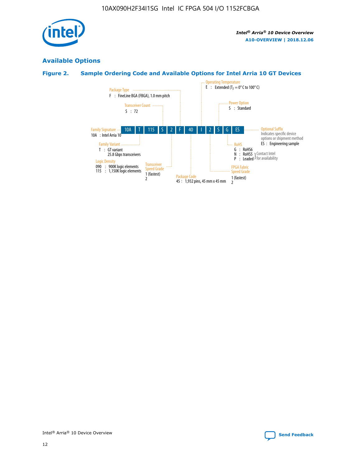

## **Available Options**

## **Figure 2. Sample Ordering Code and Available Options for Intel Arria 10 GT Devices**

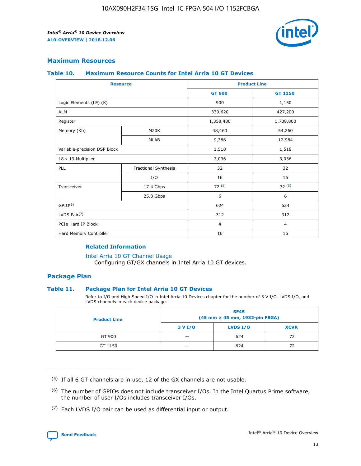

## **Maximum Resources**

#### **Table 10. Maximum Resource Counts for Intel Arria 10 GT Devices**

| <b>Resource</b>              |                      |                | <b>Product Line</b> |  |
|------------------------------|----------------------|----------------|---------------------|--|
|                              |                      | <b>GT 900</b>  | <b>GT 1150</b>      |  |
| Logic Elements (LE) (K)      |                      | 900            | 1,150               |  |
| <b>ALM</b>                   |                      | 339,620        | 427,200             |  |
| Register                     |                      | 1,358,480      | 1,708,800           |  |
| Memory (Kb)                  | M20K                 | 48,460         | 54,260              |  |
|                              | <b>MLAB</b>          | 9,386          | 12,984              |  |
| Variable-precision DSP Block |                      | 1,518          | 1,518               |  |
| 18 x 19 Multiplier           |                      | 3,036          | 3,036               |  |
| <b>PLL</b>                   | Fractional Synthesis | 32             | 32                  |  |
|                              | I/O                  | 16             | 16                  |  |
| Transceiver                  | 17.4 Gbps            | 72(5)          | 72(5)               |  |
|                              | 25.8 Gbps            | 6              | 6                   |  |
| GPIO <sup>(6)</sup>          |                      | 624            | 624                 |  |
| LVDS Pair $(7)$              |                      | 312            | 312                 |  |
| PCIe Hard IP Block           |                      | $\overline{4}$ | $\overline{4}$      |  |
| Hard Memory Controller       |                      | 16             | 16                  |  |

## **Related Information**

#### [Intel Arria 10 GT Channel Usage](https://www.intel.com/content/www/us/en/programmable/documentation/nik1398707230472.html#nik1398707008178)

Configuring GT/GX channels in Intel Arria 10 GT devices.

## **Package Plan**

### **Table 11. Package Plan for Intel Arria 10 GT Devices**

Refer to I/O and High Speed I/O in Intel Arria 10 Devices chapter for the number of 3 V I/O, LVDS I/O, and LVDS channels in each device package.

| <b>Product Line</b> | <b>SF45</b><br>(45 mm × 45 mm, 1932-pin FBGA) |                 |             |  |  |  |
|---------------------|-----------------------------------------------|-----------------|-------------|--|--|--|
|                     | 3 V I/O                                       | <b>LVDS I/O</b> | <b>XCVR</b> |  |  |  |
| GT 900              |                                               | 624             | 72          |  |  |  |
| GT 1150             |                                               | 624             |             |  |  |  |

<sup>(7)</sup> Each LVDS I/O pair can be used as differential input or output.



 $(5)$  If all 6 GT channels are in use, 12 of the GX channels are not usable.

<sup>(6)</sup> The number of GPIOs does not include transceiver I/Os. In the Intel Quartus Prime software, the number of user I/Os includes transceiver I/Os.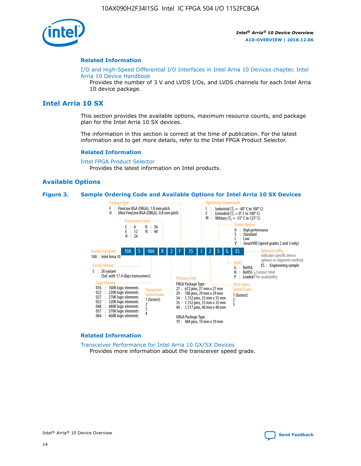

#### **Related Information**

[I/O and High-Speed Differential I/O Interfaces in Intel Arria 10 Devices chapter, Intel](https://www.intel.com/content/www/us/en/programmable/documentation/sam1403482614086.html#sam1403482030321) [Arria 10 Device Handbook](https://www.intel.com/content/www/us/en/programmable/documentation/sam1403482614086.html#sam1403482030321)

Provides the number of 3 V and LVDS I/Os, and LVDS channels for each Intel Arria 10 device package.

## **Intel Arria 10 SX**

This section provides the available options, maximum resource counts, and package plan for the Intel Arria 10 SX devices.

The information in this section is correct at the time of publication. For the latest information and to get more details, refer to the Intel FPGA Product Selector.

#### **Related Information**

[Intel FPGA Product Selector](http://www.altera.com/products/selector/psg-selector.html) Provides the latest information on Intel products.

#### **Available Options**

#### **Figure 3. Sample Ordering Code and Available Options for Intel Arria 10 SX Devices**



#### **Related Information**

[Transceiver Performance for Intel Arria 10 GX/SX Devices](https://www.intel.com/content/www/us/en/programmable/documentation/mcn1413182292568.html#mcn1413213965502) Provides more information about the transceiver speed grade.

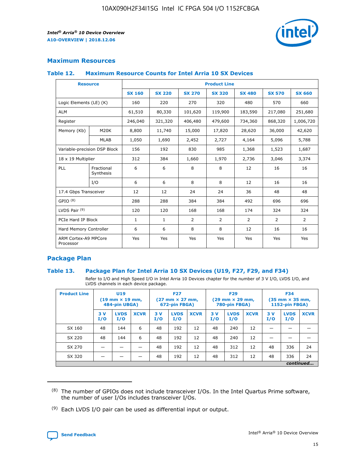

## **Maximum Resources**

### **Table 12. Maximum Resource Counts for Intel Arria 10 SX Devices**

| <b>Resource</b>                   |                         | <b>Product Line</b> |               |                |                |                |                |                |  |  |  |
|-----------------------------------|-------------------------|---------------------|---------------|----------------|----------------|----------------|----------------|----------------|--|--|--|
|                                   |                         | <b>SX 160</b>       | <b>SX 220</b> | <b>SX 270</b>  | <b>SX 320</b>  | <b>SX 480</b>  | <b>SX 570</b>  | <b>SX 660</b>  |  |  |  |
| Logic Elements (LE) (K)           |                         | 160                 | 220           | 270            | 320            | 480            | 570            | 660            |  |  |  |
| <b>ALM</b>                        |                         | 61,510              | 80,330        | 101,620        | 119,900        | 183,590        | 217,080        | 251,680        |  |  |  |
| Register                          |                         | 246,040             | 321,320       | 406,480        | 479,600        | 734,360        | 868,320        | 1,006,720      |  |  |  |
| Memory (Kb)                       | M <sub>20</sub> K       | 8,800               | 11,740        | 15,000         | 17,820         | 28,620         | 36,000         | 42,620         |  |  |  |
|                                   | <b>MLAB</b>             | 1,050               | 1,690         | 2,452          | 2,727          | 4,164          | 5,096          | 5,788          |  |  |  |
| Variable-precision DSP Block      |                         | 156                 | 192           | 830            | 985            | 1,368          | 1,523          | 1,687          |  |  |  |
| 18 x 19 Multiplier                |                         | 312                 | 384           | 1,660          | 1,970          | 2,736          | 3,046          | 3,374          |  |  |  |
| PLL                               | Fractional<br>Synthesis | 6                   | 6             | 8              | 8              | 12             | 16             | 16             |  |  |  |
|                                   | I/O                     | 6                   | 6             | 8              | 8              | 12             | 16             | 16             |  |  |  |
| 17.4 Gbps Transceiver             |                         | 12                  | 12            | 24             | 24             | 36             | 48             | 48             |  |  |  |
| GPIO <sup>(8)</sup>               |                         | 288                 | 288           | 384            | 384            | 492            | 696            | 696            |  |  |  |
| LVDS Pair $(9)$                   |                         | 120                 | 120           | 168            | 168            | 174            | 324            | 324            |  |  |  |
| PCIe Hard IP Block                |                         | $\mathbf{1}$        | $\mathbf{1}$  | $\overline{2}$ | $\overline{2}$ | $\overline{2}$ | $\overline{2}$ | $\overline{2}$ |  |  |  |
| Hard Memory Controller            |                         | 6                   | 6             | 8              | 8              | 12             | 16             | 16             |  |  |  |
| ARM Cortex-A9 MPCore<br>Processor |                         | Yes                 | Yes           | Yes            | Yes            | Yes            | Yes            | Yes            |  |  |  |

## **Package Plan**

### **Table 13. Package Plan for Intel Arria 10 SX Devices (U19, F27, F29, and F34)**

Refer to I/O and High Speed I/O in Intel Arria 10 Devices chapter for the number of 3 V I/O, LVDS I/O, and LVDS channels in each device package.

| <b>Product Line</b> | U <sub>19</sub><br>$(19 \text{ mm} \times 19 \text{ mm})$<br>484-pin UBGA) |                    |             | <b>F27</b><br>$(27 \text{ mm} \times 27 \text{ mm})$ .<br>672-pin FBGA) |                    | <b>F29</b><br>$(29 \text{ mm} \times 29 \text{ mm})$ .<br>780-pin FBGA) |            |                    | <b>F34</b><br>$(35 \text{ mm} \times 35 \text{ mm})$<br><b>1152-pin FBGA)</b> |           |                    |             |
|---------------------|----------------------------------------------------------------------------|--------------------|-------------|-------------------------------------------------------------------------|--------------------|-------------------------------------------------------------------------|------------|--------------------|-------------------------------------------------------------------------------|-----------|--------------------|-------------|
|                     | 3V<br>I/O                                                                  | <b>LVDS</b><br>I/O | <b>XCVR</b> | 3V<br>I/O                                                               | <b>LVDS</b><br>I/O | <b>XCVR</b>                                                             | 3 V<br>I/O | <b>LVDS</b><br>I/O | <b>XCVR</b>                                                                   | 3V<br>I/O | <b>LVDS</b><br>I/O | <b>XCVR</b> |
| SX 160              | 48                                                                         | 144                | 6           | 48                                                                      | 192                | 12                                                                      | 48         | 240                | 12                                                                            |           |                    |             |
| SX 220              | 48                                                                         | 144                | 6           | 48                                                                      | 192                | 12                                                                      | 48         | 240                | 12                                                                            |           |                    |             |
| SX 270              |                                                                            |                    |             | 48                                                                      | 192                | 12                                                                      | 48         | 312                | 12                                                                            | 48        | 336                | 24          |
| SX 320              |                                                                            |                    |             | 48                                                                      | 192                | 12                                                                      | 48         | 312                | 12                                                                            | 48        | 336                | 24          |
|                     | continued                                                                  |                    |             |                                                                         |                    |                                                                         |            |                    |                                                                               |           |                    |             |

 $(8)$  The number of GPIOs does not include transceiver I/Os. In the Intel Quartus Prime software, the number of user I/Os includes transceiver I/Os.

 $(9)$  Each LVDS I/O pair can be used as differential input or output.

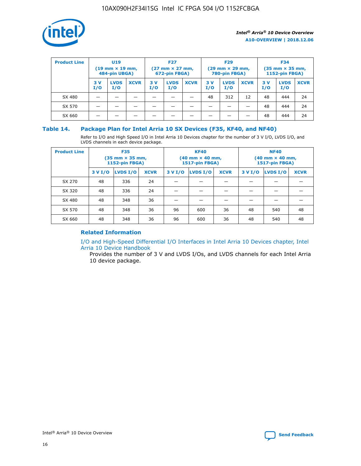

| <b>Product Line</b> | U <sub>19</sub><br>$(19 \text{ mm} \times 19 \text{ mm})$<br>484-pin UBGA) |                    | <b>F27</b><br>$(27 \text{ mm} \times 27 \text{ mm})$<br>672-pin FBGA) |           | <b>F29</b><br>$(29$ mm $\times$ 29 mm,<br>780-pin FBGA) |             |           | <b>F34</b><br>$(35$ mm $\times$ 35 mm,<br><b>1152-pin FBGA)</b> |             |            |                    |             |
|---------------------|----------------------------------------------------------------------------|--------------------|-----------------------------------------------------------------------|-----------|---------------------------------------------------------|-------------|-----------|-----------------------------------------------------------------|-------------|------------|--------------------|-------------|
|                     | 3 V<br>I/O                                                                 | <b>LVDS</b><br>I/O | <b>XCVR</b>                                                           | 3V<br>I/O | <b>LVDS</b><br>I/O                                      | <b>XCVR</b> | 3V<br>I/O | <b>LVDS</b><br>I/O                                              | <b>XCVR</b> | 3 V<br>I/O | <b>LVDS</b><br>I/O | <b>XCVR</b> |
| SX 480              |                                                                            |                    |                                                                       |           |                                                         |             | 48        | 312                                                             | 12          | 48         | 444                | 24          |
| SX 570              |                                                                            |                    |                                                                       |           |                                                         |             |           |                                                                 |             | 48         | 444                | 24          |
| SX 660              |                                                                            |                    |                                                                       |           |                                                         |             |           |                                                                 |             | 48         | 444                | 24          |

## **Table 14. Package Plan for Intel Arria 10 SX Devices (F35, KF40, and NF40)**

Refer to I/O and High Speed I/O in Intel Arria 10 Devices chapter for the number of 3 V I/O, LVDS I/O, and LVDS channels in each device package.

| <b>Product Line</b> | <b>F35</b><br>$(35 \text{ mm} \times 35 \text{ mm})$<br><b>1152-pin FBGA)</b> |          |             |                                           | <b>KF40</b><br>(40 mm × 40 mm,<br>1517-pin FBGA) |    | <b>NF40</b><br>$(40 \text{ mm} \times 40 \text{ mm})$<br>1517-pin FBGA) |          |             |  |
|---------------------|-------------------------------------------------------------------------------|----------|-------------|-------------------------------------------|--------------------------------------------------|----|-------------------------------------------------------------------------|----------|-------------|--|
|                     | 3 V I/O                                                                       | LVDS I/O | <b>XCVR</b> | <b>LVDS I/O</b><br><b>XCVR</b><br>3 V I/O |                                                  |    | 3 V I/O                                                                 | LVDS I/O | <b>XCVR</b> |  |
| SX 270              | 48                                                                            | 336      | 24          |                                           |                                                  |    |                                                                         |          |             |  |
| SX 320              | 48                                                                            | 336      | 24          |                                           |                                                  |    |                                                                         |          |             |  |
| SX 480              | 48                                                                            | 348      | 36          |                                           |                                                  |    |                                                                         |          |             |  |
| SX 570              | 48                                                                            | 348      | 36          | 96<br>36<br>600                           |                                                  | 48 | 540                                                                     | 48       |             |  |
| SX 660              | 48                                                                            | 348      | 36          | 96                                        | 600                                              | 36 | 48                                                                      | 540      | 48          |  |

## **Related Information**

[I/O and High-Speed Differential I/O Interfaces in Intel Arria 10 Devices chapter, Intel](https://www.intel.com/content/www/us/en/programmable/documentation/sam1403482614086.html#sam1403482030321) [Arria 10 Device Handbook](https://www.intel.com/content/www/us/en/programmable/documentation/sam1403482614086.html#sam1403482030321)

Provides the number of 3 V and LVDS I/Os, and LVDS channels for each Intel Arria 10 device package.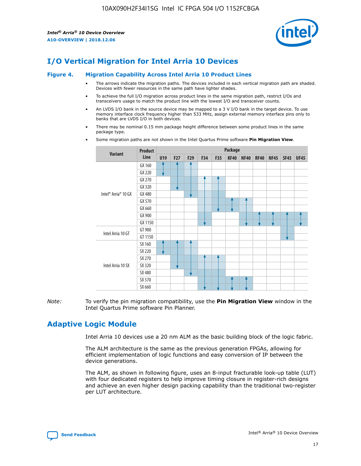

# **I/O Vertical Migration for Intel Arria 10 Devices**

#### **Figure 4. Migration Capability Across Intel Arria 10 Product Lines**

- The arrows indicate the migration paths. The devices included in each vertical migration path are shaded. Devices with fewer resources in the same path have lighter shades.
- To achieve the full I/O migration across product lines in the same migration path, restrict I/Os and transceivers usage to match the product line with the lowest I/O and transceiver counts.
- An LVDS I/O bank in the source device may be mapped to a 3 V I/O bank in the target device. To use memory interface clock frequency higher than 533 MHz, assign external memory interface pins only to banks that are LVDS I/O in both devices.
- There may be nominal 0.15 mm package height difference between some product lines in the same package type.
	- **Variant Product Line Package U19 F27 F29 F34 F35 KF40 NF40 RF40 NF45 SF45 UF45** Intel® Arria® 10 GX GX 160 GX 220 GX 270 GX 320 GX 480 GX 570 GX 660 GX 900 GX 1150 Intel Arria 10 GT GT 900 GT 1150 Intel Arria 10 SX SX 160 SX 220 SX 270 SX 320 SX 480 SX 570 SX 660
- Some migration paths are not shown in the Intel Quartus Prime software **Pin Migration View**.

*Note:* To verify the pin migration compatibility, use the **Pin Migration View** window in the Intel Quartus Prime software Pin Planner.

## **Adaptive Logic Module**

Intel Arria 10 devices use a 20 nm ALM as the basic building block of the logic fabric.

The ALM architecture is the same as the previous generation FPGAs, allowing for efficient implementation of logic functions and easy conversion of IP between the device generations.

The ALM, as shown in following figure, uses an 8-input fracturable look-up table (LUT) with four dedicated registers to help improve timing closure in register-rich designs and achieve an even higher design packing capability than the traditional two-register per LUT architecture.

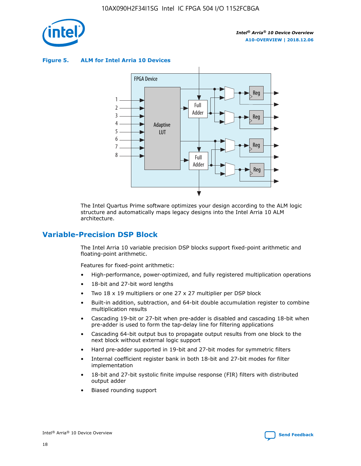

**Figure 5. ALM for Intel Arria 10 Devices**



The Intel Quartus Prime software optimizes your design according to the ALM logic structure and automatically maps legacy designs into the Intel Arria 10 ALM architecture.

## **Variable-Precision DSP Block**

The Intel Arria 10 variable precision DSP blocks support fixed-point arithmetic and floating-point arithmetic.

Features for fixed-point arithmetic:

- High-performance, power-optimized, and fully registered multiplication operations
- 18-bit and 27-bit word lengths
- Two 18 x 19 multipliers or one 27 x 27 multiplier per DSP block
- Built-in addition, subtraction, and 64-bit double accumulation register to combine multiplication results
- Cascading 19-bit or 27-bit when pre-adder is disabled and cascading 18-bit when pre-adder is used to form the tap-delay line for filtering applications
- Cascading 64-bit output bus to propagate output results from one block to the next block without external logic support
- Hard pre-adder supported in 19-bit and 27-bit modes for symmetric filters
- Internal coefficient register bank in both 18-bit and 27-bit modes for filter implementation
- 18-bit and 27-bit systolic finite impulse response (FIR) filters with distributed output adder
- Biased rounding support

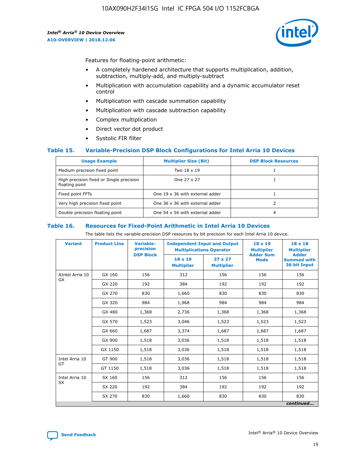

Features for floating-point arithmetic:

- A completely hardened architecture that supports multiplication, addition, subtraction, multiply-add, and multiply-subtract
- Multiplication with accumulation capability and a dynamic accumulator reset control
- Multiplication with cascade summation capability
- Multiplication with cascade subtraction capability
- Complex multiplication
- Direct vector dot product
- Systolic FIR filter

### **Table 15. Variable-Precision DSP Block Configurations for Intel Arria 10 Devices**

| <b>Usage Example</b>                                       | <b>Multiplier Size (Bit)</b>    | <b>DSP Block Resources</b> |
|------------------------------------------------------------|---------------------------------|----------------------------|
| Medium precision fixed point                               | Two 18 x 19                     |                            |
| High precision fixed or Single precision<br>floating point | One 27 x 27                     |                            |
| Fixed point FFTs                                           | One 19 x 36 with external adder |                            |
| Very high precision fixed point                            | One 36 x 36 with external adder |                            |
| Double precision floating point                            | One 54 x 54 with external adder | 4                          |

#### **Table 16. Resources for Fixed-Point Arithmetic in Intel Arria 10 Devices**

The table lists the variable-precision DSP resources by bit precision for each Intel Arria 10 device.

| <b>Variant</b>  | <b>Product Line</b> | Variable-<br>precision<br><b>DSP Block</b> | <b>Independent Input and Output</b><br><b>Multiplications Operator</b> |                                     | 18 x 19<br><b>Multiplier</b><br><b>Adder Sum</b> | $18 \times 18$<br><b>Multiplier</b><br><b>Adder</b> |
|-----------------|---------------------|--------------------------------------------|------------------------------------------------------------------------|-------------------------------------|--------------------------------------------------|-----------------------------------------------------|
|                 |                     |                                            | 18 x 19<br><b>Multiplier</b>                                           | $27 \times 27$<br><b>Multiplier</b> | <b>Mode</b>                                      | <b>Summed with</b><br>36 bit Input                  |
| AIntel Arria 10 | GX 160              | 156                                        | 312                                                                    | 156                                 | 156                                              | 156                                                 |
| GX              | GX 220              | 192                                        | 384                                                                    | 192                                 | 192                                              | 192                                                 |
|                 | GX 270              | 830                                        | 1,660                                                                  | 830                                 | 830                                              | 830                                                 |
|                 | GX 320              | 984                                        | 1,968                                                                  | 984                                 | 984                                              | 984                                                 |
|                 | GX 480              | 1,368                                      | 2,736                                                                  | 1,368                               | 1,368                                            | 1,368                                               |
|                 | GX 570              | 1,523                                      | 3,046                                                                  | 1,523                               | 1,523                                            | 1,523                                               |
|                 | GX 660              | 1,687                                      | 3,374                                                                  | 1,687                               | 1,687                                            | 1,687                                               |
|                 | GX 900              | 1,518                                      | 3,036                                                                  | 1,518                               | 1,518                                            | 1,518                                               |
|                 | GX 1150             | 1,518                                      | 3,036                                                                  | 1,518                               | 1,518                                            | 1,518                                               |
| Intel Arria 10  | GT 900              | 1,518                                      | 3,036                                                                  | 1,518                               | 1,518                                            | 1,518                                               |
| GT              | GT 1150             | 1,518                                      | 3,036                                                                  | 1,518                               | 1,518                                            | 1,518                                               |
| Intel Arria 10  | SX 160              | 156                                        | 312                                                                    | 156                                 | 156                                              | 156                                                 |
| <b>SX</b>       | SX 220              | 192                                        | 384                                                                    | 192                                 | 192                                              | 192                                                 |
|                 | SX 270              | 830                                        | 830<br>1,660                                                           |                                     | 830                                              | 830                                                 |
|                 |                     |                                            |                                                                        |                                     |                                                  | continued                                           |

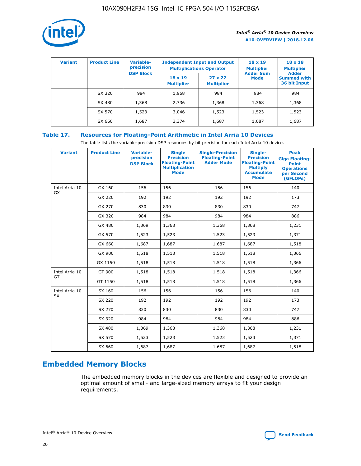

| <b>Variant</b> | <b>Product Line</b> | <b>Variable-</b><br>precision<br><b>DSP Block</b> | <b>Independent Input and Output</b><br><b>Multiplications Operator</b> |                                     | $18 \times 19$<br><b>Multiplier</b><br><b>Adder Sum</b> | $18 \times 18$<br><b>Multiplier</b><br><b>Adder</b> |  |
|----------------|---------------------|---------------------------------------------------|------------------------------------------------------------------------|-------------------------------------|---------------------------------------------------------|-----------------------------------------------------|--|
|                |                     |                                                   | $18 \times 19$<br><b>Multiplier</b>                                    | $27 \times 27$<br><b>Multiplier</b> | <b>Mode</b>                                             | <b>Summed with</b><br>36 bit Input                  |  |
|                | SX 320              | 984                                               | 1,968                                                                  | 984                                 | 984                                                     | 984                                                 |  |
|                | SX 480              | 1,368                                             | 2,736                                                                  | 1,368                               | 1,368                                                   | 1,368                                               |  |
|                | SX 570              | 1,523                                             | 3,046                                                                  | 1,523                               | 1,523                                                   | 1,523                                               |  |
|                | SX 660              | 1,687                                             | 3,374                                                                  | 1,687                               | 1,687                                                   | 1,687                                               |  |

## **Table 17. Resources for Floating-Point Arithmetic in Intel Arria 10 Devices**

The table lists the variable-precision DSP resources by bit precision for each Intel Arria 10 device.

| <b>Variant</b> | <b>Product Line</b> | <b>Variable-</b><br>precision<br><b>DSP Block</b> | <b>Single</b><br><b>Precision</b><br><b>Floating-Point</b><br><b>Multiplication</b><br><b>Mode</b> | <b>Single-Precision</b><br><b>Floating-Point</b><br><b>Adder Mode</b> | Single-<br><b>Precision</b><br><b>Floating-Point</b><br><b>Multiply</b><br><b>Accumulate</b><br><b>Mode</b> | <b>Peak</b><br><b>Giga Floating-</b><br><b>Point</b><br><b>Operations</b><br>per Second<br>(GFLOPs) |
|----------------|---------------------|---------------------------------------------------|----------------------------------------------------------------------------------------------------|-----------------------------------------------------------------------|-------------------------------------------------------------------------------------------------------------|-----------------------------------------------------------------------------------------------------|
| Intel Arria 10 | GX 160              | 156                                               | 156                                                                                                | 156                                                                   | 156                                                                                                         | 140                                                                                                 |
| GX             | GX 220              | 192                                               | 192                                                                                                | 192                                                                   | 192                                                                                                         | 173                                                                                                 |
|                | GX 270              | 830                                               | 830                                                                                                | 830                                                                   | 830                                                                                                         | 747                                                                                                 |
|                | GX 320              | 984                                               | 984                                                                                                | 984                                                                   | 984                                                                                                         | 886                                                                                                 |
|                | GX 480              | 1,369                                             | 1,368                                                                                              | 1,368                                                                 | 1,368                                                                                                       | 1,231                                                                                               |
|                | GX 570              | 1,523                                             | 1,523                                                                                              | 1,523                                                                 | 1,523                                                                                                       | 1,371                                                                                               |
|                | GX 660              | 1,687                                             | 1,687                                                                                              | 1,687                                                                 | 1,687                                                                                                       | 1,518                                                                                               |
|                | GX 900              | 1,518                                             | 1,518                                                                                              | 1,518                                                                 | 1,518                                                                                                       | 1,366                                                                                               |
|                | GX 1150             | 1,518                                             | 1,518                                                                                              | 1,518                                                                 | 1,518                                                                                                       | 1,366                                                                                               |
| Intel Arria 10 | GT 900              | 1,518                                             | 1,518                                                                                              | 1,518                                                                 | 1,518                                                                                                       | 1,366                                                                                               |
| GT             | GT 1150             | 1,518                                             | 1,518                                                                                              | 1,518                                                                 | 1,518                                                                                                       | 1,366                                                                                               |
| Intel Arria 10 | SX 160              | 156                                               | 156                                                                                                | 156                                                                   | 156                                                                                                         | 140                                                                                                 |
| <b>SX</b>      | SX 220              | 192                                               | 192                                                                                                | 192                                                                   | 192                                                                                                         | 173                                                                                                 |
|                | SX 270              | 830                                               | 830                                                                                                | 830                                                                   | 830                                                                                                         | 747                                                                                                 |
|                | SX 320              | 984                                               | 984                                                                                                | 984                                                                   | 984                                                                                                         | 886                                                                                                 |
|                | SX 480              | 1,369                                             | 1,368                                                                                              | 1,368                                                                 | 1,368                                                                                                       | 1,231                                                                                               |
|                | SX 570              | 1,523                                             | 1,523                                                                                              | 1,523                                                                 | 1,523                                                                                                       | 1,371                                                                                               |
|                | SX 660              | 1,687                                             | 1,687                                                                                              | 1,687                                                                 | 1,687                                                                                                       | 1,518                                                                                               |

# **Embedded Memory Blocks**

The embedded memory blocks in the devices are flexible and designed to provide an optimal amount of small- and large-sized memory arrays to fit your design requirements.

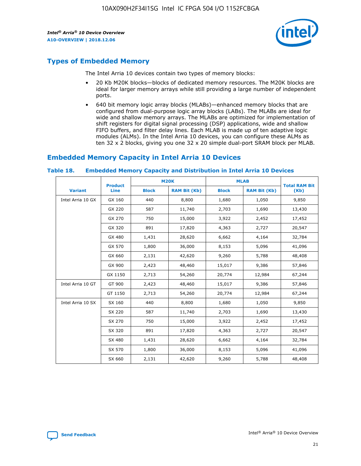

## **Types of Embedded Memory**

The Intel Arria 10 devices contain two types of memory blocks:

- 20 Kb M20K blocks—blocks of dedicated memory resources. The M20K blocks are ideal for larger memory arrays while still providing a large number of independent ports.
- 640 bit memory logic array blocks (MLABs)—enhanced memory blocks that are configured from dual-purpose logic array blocks (LABs). The MLABs are ideal for wide and shallow memory arrays. The MLABs are optimized for implementation of shift registers for digital signal processing (DSP) applications, wide and shallow FIFO buffers, and filter delay lines. Each MLAB is made up of ten adaptive logic modules (ALMs). In the Intel Arria 10 devices, you can configure these ALMs as ten 32 x 2 blocks, giving you one 32 x 20 simple dual-port SRAM block per MLAB.

## **Embedded Memory Capacity in Intel Arria 10 Devices**

|                   | <b>Product</b> |              | <b>M20K</b>         | <b>MLAB</b>  |                     | <b>Total RAM Bit</b> |
|-------------------|----------------|--------------|---------------------|--------------|---------------------|----------------------|
| <b>Variant</b>    | <b>Line</b>    | <b>Block</b> | <b>RAM Bit (Kb)</b> | <b>Block</b> | <b>RAM Bit (Kb)</b> | (Kb)                 |
| Intel Arria 10 GX | GX 160         | 440          | 8,800               | 1,680        | 1,050               | 9,850                |
|                   | GX 220         | 587          | 11,740              | 2,703        | 1,690               | 13,430               |
|                   | GX 270         | 750          | 15,000              | 3,922        | 2,452               | 17,452               |
|                   | GX 320         | 891          | 17,820              | 4,363        | 2,727               | 20,547               |
|                   | GX 480         | 1,431        | 28,620              | 6,662        | 4,164               | 32,784               |
|                   | GX 570         | 1,800        | 36,000              | 8,153        | 5,096               | 41,096               |
|                   | GX 660         | 2,131        | 42,620              | 9,260        | 5,788               | 48,408               |
|                   | GX 900         | 2,423        | 48,460              | 15,017       | 9,386               | 57,846               |
|                   | GX 1150        | 2,713        | 54,260              | 20,774       | 12,984              | 67,244               |
| Intel Arria 10 GT | GT 900         | 2,423        | 48,460              | 15,017       | 9,386               | 57,846               |
|                   | GT 1150        | 2,713        | 54,260              | 20,774       | 12,984              | 67,244               |
| Intel Arria 10 SX | SX 160         | 440          | 8,800               | 1,680        | 1,050               | 9,850                |
|                   | SX 220         | 587          | 11,740              | 2,703        | 1,690               | 13,430               |
|                   | SX 270         | 750          | 15,000              | 3,922        | 2,452               | 17,452               |
|                   | SX 320         | 891          | 17,820              | 4,363        | 2,727               | 20,547               |
|                   | SX 480         | 1,431        | 28,620              | 6,662        | 4,164               | 32,784               |
|                   | SX 570         | 1,800        | 36,000              | 8,153        | 5,096               | 41,096               |
|                   | SX 660         | 2,131        | 42,620              | 9,260        | 5,788               | 48,408               |

#### **Table 18. Embedded Memory Capacity and Distribution in Intel Arria 10 Devices**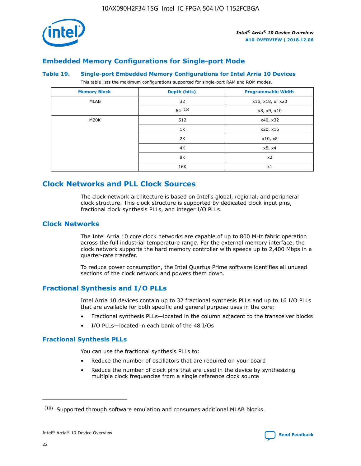

## **Embedded Memory Configurations for Single-port Mode**

#### **Table 19. Single-port Embedded Memory Configurations for Intel Arria 10 Devices**

This table lists the maximum configurations supported for single-port RAM and ROM modes.

| <b>Memory Block</b> | Depth (bits) | <b>Programmable Width</b> |
|---------------------|--------------|---------------------------|
| MLAB                | 32           | x16, x18, or x20          |
|                     | 64(10)       | x8, x9, x10               |
| M20K                | 512          | x40, x32                  |
|                     | 1K           | x20, x16                  |
|                     | 2K           | x10, x8                   |
|                     | 4K           | x5, x4                    |
|                     | 8K           | x2                        |
|                     | 16K          | x1                        |

## **Clock Networks and PLL Clock Sources**

The clock network architecture is based on Intel's global, regional, and peripheral clock structure. This clock structure is supported by dedicated clock input pins, fractional clock synthesis PLLs, and integer I/O PLLs.

## **Clock Networks**

The Intel Arria 10 core clock networks are capable of up to 800 MHz fabric operation across the full industrial temperature range. For the external memory interface, the clock network supports the hard memory controller with speeds up to 2,400 Mbps in a quarter-rate transfer.

To reduce power consumption, the Intel Quartus Prime software identifies all unused sections of the clock network and powers them down.

## **Fractional Synthesis and I/O PLLs**

Intel Arria 10 devices contain up to 32 fractional synthesis PLLs and up to 16 I/O PLLs that are available for both specific and general purpose uses in the core:

- Fractional synthesis PLLs—located in the column adjacent to the transceiver blocks
- I/O PLLs—located in each bank of the 48 I/Os

## **Fractional Synthesis PLLs**

You can use the fractional synthesis PLLs to:

- Reduce the number of oscillators that are required on your board
- Reduce the number of clock pins that are used in the device by synthesizing multiple clock frequencies from a single reference clock source

<sup>(10)</sup> Supported through software emulation and consumes additional MLAB blocks.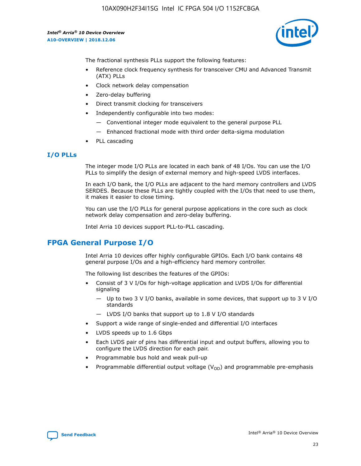

The fractional synthesis PLLs support the following features:

- Reference clock frequency synthesis for transceiver CMU and Advanced Transmit (ATX) PLLs
- Clock network delay compensation
- Zero-delay buffering
- Direct transmit clocking for transceivers
- Independently configurable into two modes:
	- Conventional integer mode equivalent to the general purpose PLL
	- Enhanced fractional mode with third order delta-sigma modulation
- PLL cascading

### **I/O PLLs**

The integer mode I/O PLLs are located in each bank of 48 I/Os. You can use the I/O PLLs to simplify the design of external memory and high-speed LVDS interfaces.

In each I/O bank, the I/O PLLs are adjacent to the hard memory controllers and LVDS SERDES. Because these PLLs are tightly coupled with the I/Os that need to use them, it makes it easier to close timing.

You can use the I/O PLLs for general purpose applications in the core such as clock network delay compensation and zero-delay buffering.

Intel Arria 10 devices support PLL-to-PLL cascading.

## **FPGA General Purpose I/O**

Intel Arria 10 devices offer highly configurable GPIOs. Each I/O bank contains 48 general purpose I/Os and a high-efficiency hard memory controller.

The following list describes the features of the GPIOs:

- Consist of 3 V I/Os for high-voltage application and LVDS I/Os for differential signaling
	- Up to two 3 V I/O banks, available in some devices, that support up to 3 V I/O standards
	- LVDS I/O banks that support up to 1.8 V I/O standards
- Support a wide range of single-ended and differential I/O interfaces
- LVDS speeds up to 1.6 Gbps
- Each LVDS pair of pins has differential input and output buffers, allowing you to configure the LVDS direction for each pair.
- Programmable bus hold and weak pull-up
- Programmable differential output voltage  $(V_{OD})$  and programmable pre-emphasis

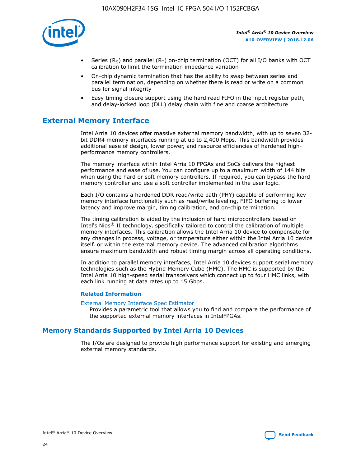

- Series (R<sub>S</sub>) and parallel (R<sub>T</sub>) on-chip termination (OCT) for all I/O banks with OCT calibration to limit the termination impedance variation
- On-chip dynamic termination that has the ability to swap between series and parallel termination, depending on whether there is read or write on a common bus for signal integrity
- Easy timing closure support using the hard read FIFO in the input register path, and delay-locked loop (DLL) delay chain with fine and coarse architecture

## **External Memory Interface**

Intel Arria 10 devices offer massive external memory bandwidth, with up to seven 32 bit DDR4 memory interfaces running at up to 2,400 Mbps. This bandwidth provides additional ease of design, lower power, and resource efficiencies of hardened highperformance memory controllers.

The memory interface within Intel Arria 10 FPGAs and SoCs delivers the highest performance and ease of use. You can configure up to a maximum width of 144 bits when using the hard or soft memory controllers. If required, you can bypass the hard memory controller and use a soft controller implemented in the user logic.

Each I/O contains a hardened DDR read/write path (PHY) capable of performing key memory interface functionality such as read/write leveling, FIFO buffering to lower latency and improve margin, timing calibration, and on-chip termination.

The timing calibration is aided by the inclusion of hard microcontrollers based on Intel's Nios® II technology, specifically tailored to control the calibration of multiple memory interfaces. This calibration allows the Intel Arria 10 device to compensate for any changes in process, voltage, or temperature either within the Intel Arria 10 device itself, or within the external memory device. The advanced calibration algorithms ensure maximum bandwidth and robust timing margin across all operating conditions.

In addition to parallel memory interfaces, Intel Arria 10 devices support serial memory technologies such as the Hybrid Memory Cube (HMC). The HMC is supported by the Intel Arria 10 high-speed serial transceivers which connect up to four HMC links, with each link running at data rates up to 15 Gbps.

### **Related Information**

#### [External Memory Interface Spec Estimator](http://www.altera.com/technology/memory/estimator/mem-emif-index.html)

Provides a parametric tool that allows you to find and compare the performance of the supported external memory interfaces in IntelFPGAs.

## **Memory Standards Supported by Intel Arria 10 Devices**

The I/Os are designed to provide high performance support for existing and emerging external memory standards.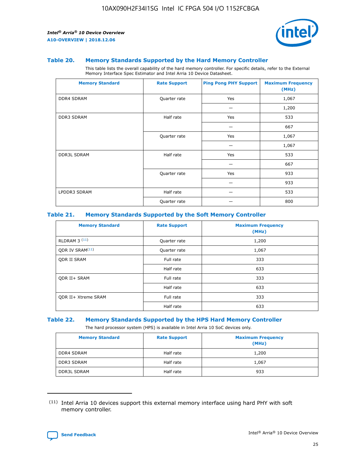

#### **Table 20. Memory Standards Supported by the Hard Memory Controller**

This table lists the overall capability of the hard memory controller. For specific details, refer to the External Memory Interface Spec Estimator and Intel Arria 10 Device Datasheet.

| <b>Memory Standard</b> | <b>Rate Support</b> | <b>Ping Pong PHY Support</b> | <b>Maximum Frequency</b><br>(MHz) |
|------------------------|---------------------|------------------------------|-----------------------------------|
| <b>DDR4 SDRAM</b>      | Quarter rate        | Yes                          | 1,067                             |
|                        |                     |                              | 1,200                             |
| DDR3 SDRAM             | Half rate           | Yes                          | 533                               |
|                        |                     |                              | 667                               |
|                        | Quarter rate        | Yes                          | 1,067                             |
|                        |                     |                              | 1,067                             |
| <b>DDR3L SDRAM</b>     | Half rate           | Yes                          | 533                               |
|                        |                     |                              | 667                               |
|                        | Quarter rate        | Yes                          | 933                               |
|                        |                     |                              | 933                               |
| LPDDR3 SDRAM           | Half rate           |                              | 533                               |
|                        | Quarter rate        |                              | 800                               |

### **Table 21. Memory Standards Supported by the Soft Memory Controller**

| <b>Memory Standard</b>      | <b>Rate Support</b> | <b>Maximum Frequency</b><br>(MHz) |
|-----------------------------|---------------------|-----------------------------------|
| <b>RLDRAM 3 (11)</b>        | Quarter rate        | 1,200                             |
| ODR IV SRAM <sup>(11)</sup> | Quarter rate        | 1,067                             |
| <b>ODR II SRAM</b>          | Full rate           | 333                               |
|                             | Half rate           | 633                               |
| <b>ODR II+ SRAM</b>         | Full rate           | 333                               |
|                             | Half rate           | 633                               |
| <b>ODR II+ Xtreme SRAM</b>  | Full rate           | 333                               |
|                             | Half rate           | 633                               |

#### **Table 22. Memory Standards Supported by the HPS Hard Memory Controller**

The hard processor system (HPS) is available in Intel Arria 10 SoC devices only.

| <b>Memory Standard</b> | <b>Rate Support</b> | <b>Maximum Frequency</b><br>(MHz) |
|------------------------|---------------------|-----------------------------------|
| <b>DDR4 SDRAM</b>      | Half rate           | 1,200                             |
| <b>DDR3 SDRAM</b>      | Half rate           | 1,067                             |
| <b>DDR3L SDRAM</b>     | Half rate           | 933                               |

<sup>(11)</sup> Intel Arria 10 devices support this external memory interface using hard PHY with soft memory controller.

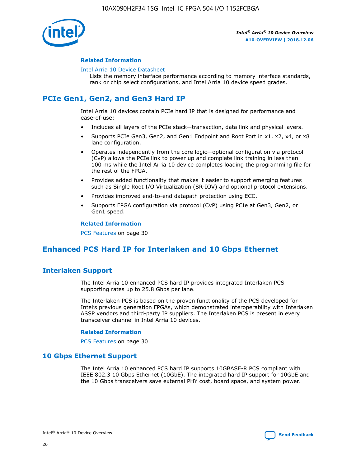

### **Related Information**

#### [Intel Arria 10 Device Datasheet](https://www.intel.com/content/www/us/en/programmable/documentation/mcn1413182292568.html#mcn1413182153340)

Lists the memory interface performance according to memory interface standards, rank or chip select configurations, and Intel Arria 10 device speed grades.

# **PCIe Gen1, Gen2, and Gen3 Hard IP**

Intel Arria 10 devices contain PCIe hard IP that is designed for performance and ease-of-use:

- Includes all layers of the PCIe stack—transaction, data link and physical layers.
- Supports PCIe Gen3, Gen2, and Gen1 Endpoint and Root Port in x1, x2, x4, or x8 lane configuration.
- Operates independently from the core logic—optional configuration via protocol (CvP) allows the PCIe link to power up and complete link training in less than 100 ms while the Intel Arria 10 device completes loading the programming file for the rest of the FPGA.
- Provides added functionality that makes it easier to support emerging features such as Single Root I/O Virtualization (SR-IOV) and optional protocol extensions.
- Provides improved end-to-end datapath protection using ECC.
- Supports FPGA configuration via protocol (CvP) using PCIe at Gen3, Gen2, or Gen1 speed.

#### **Related Information**

PCS Features on page 30

## **Enhanced PCS Hard IP for Interlaken and 10 Gbps Ethernet**

## **Interlaken Support**

The Intel Arria 10 enhanced PCS hard IP provides integrated Interlaken PCS supporting rates up to 25.8 Gbps per lane.

The Interlaken PCS is based on the proven functionality of the PCS developed for Intel's previous generation FPGAs, which demonstrated interoperability with Interlaken ASSP vendors and third-party IP suppliers. The Interlaken PCS is present in every transceiver channel in Intel Arria 10 devices.

### **Related Information**

PCS Features on page 30

## **10 Gbps Ethernet Support**

The Intel Arria 10 enhanced PCS hard IP supports 10GBASE-R PCS compliant with IEEE 802.3 10 Gbps Ethernet (10GbE). The integrated hard IP support for 10GbE and the 10 Gbps transceivers save external PHY cost, board space, and system power.

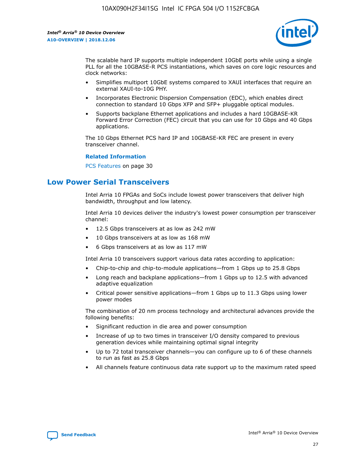

The scalable hard IP supports multiple independent 10GbE ports while using a single PLL for all the 10GBASE-R PCS instantiations, which saves on core logic resources and clock networks:

- Simplifies multiport 10GbE systems compared to XAUI interfaces that require an external XAUI-to-10G PHY.
- Incorporates Electronic Dispersion Compensation (EDC), which enables direct connection to standard 10 Gbps XFP and SFP+ pluggable optical modules.
- Supports backplane Ethernet applications and includes a hard 10GBASE-KR Forward Error Correction (FEC) circuit that you can use for 10 Gbps and 40 Gbps applications.

The 10 Gbps Ethernet PCS hard IP and 10GBASE-KR FEC are present in every transceiver channel.

#### **Related Information**

PCS Features on page 30

## **Low Power Serial Transceivers**

Intel Arria 10 FPGAs and SoCs include lowest power transceivers that deliver high bandwidth, throughput and low latency.

Intel Arria 10 devices deliver the industry's lowest power consumption per transceiver channel:

- 12.5 Gbps transceivers at as low as 242 mW
- 10 Gbps transceivers at as low as 168 mW
- 6 Gbps transceivers at as low as 117 mW

Intel Arria 10 transceivers support various data rates according to application:

- Chip-to-chip and chip-to-module applications—from 1 Gbps up to 25.8 Gbps
- Long reach and backplane applications—from 1 Gbps up to 12.5 with advanced adaptive equalization
- Critical power sensitive applications—from 1 Gbps up to 11.3 Gbps using lower power modes

The combination of 20 nm process technology and architectural advances provide the following benefits:

- Significant reduction in die area and power consumption
- Increase of up to two times in transceiver I/O density compared to previous generation devices while maintaining optimal signal integrity
- Up to 72 total transceiver channels—you can configure up to 6 of these channels to run as fast as 25.8 Gbps
- All channels feature continuous data rate support up to the maximum rated speed

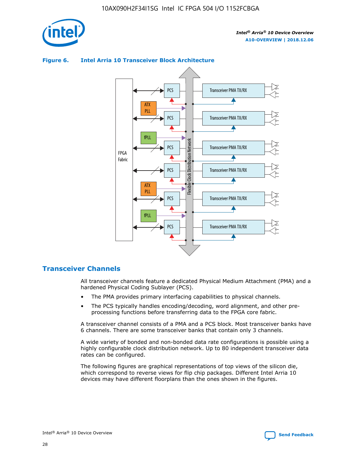



## **Figure 6. Intel Arria 10 Transceiver Block Architecture**

## **Transceiver Channels**

All transceiver channels feature a dedicated Physical Medium Attachment (PMA) and a hardened Physical Coding Sublayer (PCS).

- The PMA provides primary interfacing capabilities to physical channels.
- The PCS typically handles encoding/decoding, word alignment, and other preprocessing functions before transferring data to the FPGA core fabric.

A transceiver channel consists of a PMA and a PCS block. Most transceiver banks have 6 channels. There are some transceiver banks that contain only 3 channels.

A wide variety of bonded and non-bonded data rate configurations is possible using a highly configurable clock distribution network. Up to 80 independent transceiver data rates can be configured.

The following figures are graphical representations of top views of the silicon die, which correspond to reverse views for flip chip packages. Different Intel Arria 10 devices may have different floorplans than the ones shown in the figures.

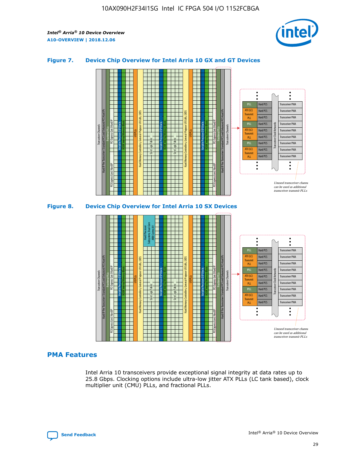

## **Figure 7. Device Chip Overview for Intel Arria 10 GX and GT Devices**



Hard PCS fPLL ATX (LC) **Transmit** 



## **PMA Features**

Intel Arria 10 transceivers provide exceptional signal integrity at data rates up to 25.8 Gbps. Clocking options include ultra-low jitter ATX PLLs (LC tank based), clock multiplier unit (CMU) PLLs, and fractional PLLs.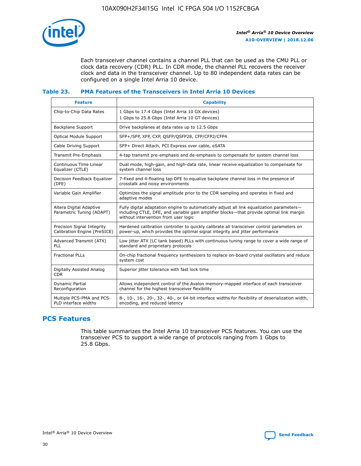

Each transceiver channel contains a channel PLL that can be used as the CMU PLL or clock data recovery (CDR) PLL. In CDR mode, the channel PLL recovers the receiver clock and data in the transceiver channel. Up to 80 independent data rates can be configured on a single Intel Arria 10 device.

## **Table 23. PMA Features of the Transceivers in Intel Arria 10 Devices**

| <b>Feature</b>                                             | <b>Capability</b>                                                                                                                                                                                                             |
|------------------------------------------------------------|-------------------------------------------------------------------------------------------------------------------------------------------------------------------------------------------------------------------------------|
| Chip-to-Chip Data Rates                                    | 1 Gbps to 17.4 Gbps (Intel Arria 10 GX devices)<br>1 Gbps to 25.8 Gbps (Intel Arria 10 GT devices)                                                                                                                            |
| <b>Backplane Support</b>                                   | Drive backplanes at data rates up to 12.5 Gbps                                                                                                                                                                                |
| <b>Optical Module Support</b>                              | SFP+/SFP, XFP, CXP, QSFP/QSFP28, CFP/CFP2/CFP4                                                                                                                                                                                |
| Cable Driving Support                                      | SFP+ Direct Attach, PCI Express over cable, eSATA                                                                                                                                                                             |
| Transmit Pre-Emphasis                                      | 4-tap transmit pre-emphasis and de-emphasis to compensate for system channel loss                                                                                                                                             |
| Continuous Time Linear<br>Equalizer (CTLE)                 | Dual mode, high-gain, and high-data rate, linear receive equalization to compensate for<br>system channel loss                                                                                                                |
| Decision Feedback Equalizer<br>(DFE)                       | 7-fixed and 4-floating tap DFE to equalize backplane channel loss in the presence of<br>crosstalk and noisy environments                                                                                                      |
| Variable Gain Amplifier                                    | Optimizes the signal amplitude prior to the CDR sampling and operates in fixed and<br>adaptive modes                                                                                                                          |
| Altera Digital Adaptive<br>Parametric Tuning (ADAPT)       | Fully digital adaptation engine to automatically adjust all link equalization parameters-<br>including CTLE, DFE, and variable gain amplifier blocks—that provide optimal link margin<br>without intervention from user logic |
| Precision Signal Integrity<br>Calibration Engine (PreSICE) | Hardened calibration controller to quickly calibrate all transceiver control parameters on<br>power-up, which provides the optimal signal integrity and jitter performance                                                    |
| Advanced Transmit (ATX)<br>PLL                             | Low jitter ATX (LC tank based) PLLs with continuous tuning range to cover a wide range of<br>standard and proprietary protocols                                                                                               |
| <b>Fractional PLLs</b>                                     | On-chip fractional frequency synthesizers to replace on-board crystal oscillators and reduce<br>system cost                                                                                                                   |
| Digitally Assisted Analog<br><b>CDR</b>                    | Superior jitter tolerance with fast lock time                                                                                                                                                                                 |
| Dynamic Partial<br>Reconfiguration                         | Allows independent control of the Avalon memory-mapped interface of each transceiver<br>channel for the highest transceiver flexibility                                                                                       |
| Multiple PCS-PMA and PCS-<br>PLD interface widths          | 8-, 10-, 16-, 20-, 32-, 40-, or 64-bit interface widths for flexibility of deserialization width,<br>encoding, and reduced latency                                                                                            |

## **PCS Features**

This table summarizes the Intel Arria 10 transceiver PCS features. You can use the transceiver PCS to support a wide range of protocols ranging from 1 Gbps to 25.8 Gbps.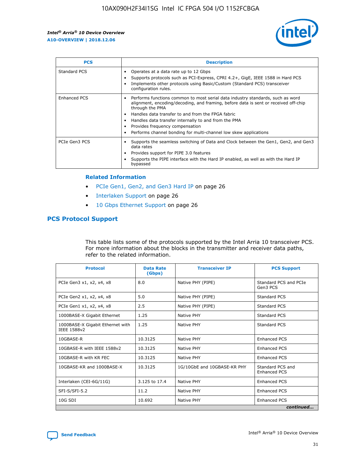

| <b>PCS</b>    | <b>Description</b>                                                                                                                                                                                                                                                                                                                                                                                             |
|---------------|----------------------------------------------------------------------------------------------------------------------------------------------------------------------------------------------------------------------------------------------------------------------------------------------------------------------------------------------------------------------------------------------------------------|
| Standard PCS  | Operates at a data rate up to 12 Gbps<br>Supports protocols such as PCI-Express, CPRI 4.2+, GigE, IEEE 1588 in Hard PCS<br>Implements other protocols using Basic/Custom (Standard PCS) transceiver<br>configuration rules.                                                                                                                                                                                    |
| Enhanced PCS  | Performs functions common to most serial data industry standards, such as word<br>alignment, encoding/decoding, and framing, before data is sent or received off-chip<br>through the PMA<br>• Handles data transfer to and from the FPGA fabric<br>Handles data transfer internally to and from the PMA<br>Provides frequency compensation<br>Performs channel bonding for multi-channel low skew applications |
| PCIe Gen3 PCS | Supports the seamless switching of Data and Clock between the Gen1, Gen2, and Gen3<br>data rates<br>Provides support for PIPE 3.0 features<br>Supports the PIPE interface with the Hard IP enabled, as well as with the Hard IP<br>bypassed                                                                                                                                                                    |

#### **Related Information**

- PCIe Gen1, Gen2, and Gen3 Hard IP on page 26
- Interlaken Support on page 26
- 10 Gbps Ethernet Support on page 26

## **PCS Protocol Support**

This table lists some of the protocols supported by the Intel Arria 10 transceiver PCS. For more information about the blocks in the transmitter and receiver data paths, refer to the related information.

| <b>Protocol</b>                                 | <b>Data Rate</b><br>(Gbps) | <b>Transceiver IP</b>       | <b>PCS Support</b>                      |
|-------------------------------------------------|----------------------------|-----------------------------|-----------------------------------------|
| PCIe Gen3 x1, x2, x4, x8                        | 8.0                        | Native PHY (PIPE)           | Standard PCS and PCIe<br>Gen3 PCS       |
| PCIe Gen2 x1, x2, x4, x8                        | 5.0                        | Native PHY (PIPE)           | <b>Standard PCS</b>                     |
| PCIe Gen1 x1, x2, x4, x8                        | 2.5                        | Native PHY (PIPE)           | Standard PCS                            |
| 1000BASE-X Gigabit Ethernet                     | 1.25                       | Native PHY                  | <b>Standard PCS</b>                     |
| 1000BASE-X Gigabit Ethernet with<br>IEEE 1588v2 | 1.25                       | Native PHY                  | Standard PCS                            |
| 10GBASE-R                                       | 10.3125                    | Native PHY                  | <b>Enhanced PCS</b>                     |
| 10GBASE-R with IEEE 1588v2                      | 10.3125                    | Native PHY                  | <b>Enhanced PCS</b>                     |
| 10GBASE-R with KR FEC                           | 10.3125                    | Native PHY                  | <b>Enhanced PCS</b>                     |
| 10GBASE-KR and 1000BASE-X                       | 10.3125                    | 1G/10GbE and 10GBASE-KR PHY | Standard PCS and<br><b>Enhanced PCS</b> |
| Interlaken (CEI-6G/11G)                         | 3.125 to 17.4              | Native PHY                  | <b>Enhanced PCS</b>                     |
| SFI-S/SFI-5.2                                   | 11.2                       | Native PHY                  | <b>Enhanced PCS</b>                     |
| $10G$ SDI                                       | 10.692                     | Native PHY                  | <b>Enhanced PCS</b>                     |
|                                                 |                            |                             | continued                               |

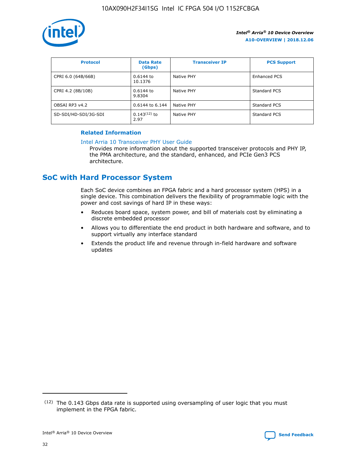

| <b>Protocol</b>      | <b>Data Rate</b><br>(Gbps) | <b>Transceiver IP</b> | <b>PCS Support</b> |
|----------------------|----------------------------|-----------------------|--------------------|
| CPRI 6.0 (64B/66B)   | 0.6144 to<br>10.1376       | Native PHY            | Enhanced PCS       |
| CPRI 4.2 (8B/10B)    | $0.6144$ to<br>9.8304      | Native PHY            | Standard PCS       |
| OBSAI RP3 v4.2       | 0.6144 to 6.144            | Native PHY            | Standard PCS       |
| SD-SDI/HD-SDI/3G-SDI | $0.143(12)$ to<br>2.97     | Native PHY            | Standard PCS       |

## **Related Information**

#### [Intel Arria 10 Transceiver PHY User Guide](https://www.intel.com/content/www/us/en/programmable/documentation/nik1398707230472.html#nik1398707091164)

Provides more information about the supported transceiver protocols and PHY IP, the PMA architecture, and the standard, enhanced, and PCIe Gen3 PCS architecture.

## **SoC with Hard Processor System**

Each SoC device combines an FPGA fabric and a hard processor system (HPS) in a single device. This combination delivers the flexibility of programmable logic with the power and cost savings of hard IP in these ways:

- Reduces board space, system power, and bill of materials cost by eliminating a discrete embedded processor
- Allows you to differentiate the end product in both hardware and software, and to support virtually any interface standard
- Extends the product life and revenue through in-field hardware and software updates

 $(12)$  The 0.143 Gbps data rate is supported using oversampling of user logic that you must implement in the FPGA fabric.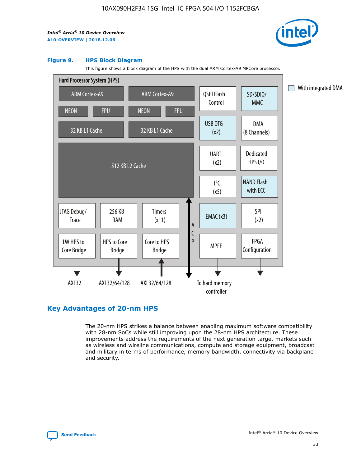

#### **Figure 9. HPS Block Diagram**

This figure shows a block diagram of the HPS with the dual ARM Cortex-A9 MPCore processor.



## **Key Advantages of 20-nm HPS**

The 20-nm HPS strikes a balance between enabling maximum software compatibility with 28-nm SoCs while still improving upon the 28-nm HPS architecture. These improvements address the requirements of the next generation target markets such as wireless and wireline communications, compute and storage equipment, broadcast and military in terms of performance, memory bandwidth, connectivity via backplane and security.

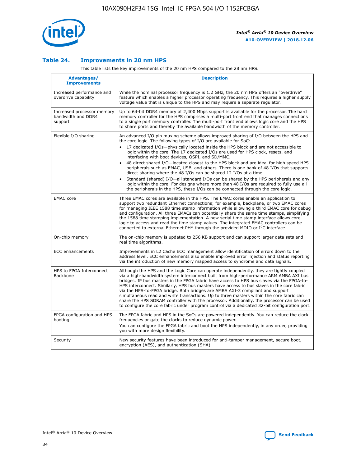

## **Table 24. Improvements in 20 nm HPS**

This table lists the key improvements of the 20 nm HPS compared to the 28 nm HPS.

| Advantages/<br><b>Improvements</b>                          | <b>Description</b>                                                                                                                                                                                                                                                                                                                                                                                                                                                                                                                                                                                                                                                                                                                                                                                                                                                                                                      |
|-------------------------------------------------------------|-------------------------------------------------------------------------------------------------------------------------------------------------------------------------------------------------------------------------------------------------------------------------------------------------------------------------------------------------------------------------------------------------------------------------------------------------------------------------------------------------------------------------------------------------------------------------------------------------------------------------------------------------------------------------------------------------------------------------------------------------------------------------------------------------------------------------------------------------------------------------------------------------------------------------|
| Increased performance and<br>overdrive capability           | While the nominal processor frequency is 1.2 GHz, the 20 nm HPS offers an "overdrive"<br>feature which enables a higher processor operating frequency. This requires a higher supply<br>voltage value that is unique to the HPS and may require a separate regulator.                                                                                                                                                                                                                                                                                                                                                                                                                                                                                                                                                                                                                                                   |
| Increased processor memory<br>bandwidth and DDR4<br>support | Up to 64-bit DDR4 memory at 2,400 Mbps support is available for the processor. The hard<br>memory controller for the HPS comprises a multi-port front end that manages connections<br>to a single port memory controller. The multi-port front end allows logic core and the HPS<br>to share ports and thereby the available bandwidth of the memory controller.                                                                                                                                                                                                                                                                                                                                                                                                                                                                                                                                                        |
| Flexible I/O sharing                                        | An advanced I/O pin muxing scheme allows improved sharing of I/O between the HPS and<br>the core logic. The following types of I/O are available for SoC:<br>17 dedicated I/Os-physically located inside the HPS block and are not accessible to<br>logic within the core. The 17 dedicated I/Os are used for HPS clock, resets, and<br>interfacing with boot devices, QSPI, and SD/MMC.<br>48 direct shared I/O-located closest to the HPS block and are ideal for high speed HPS<br>peripherals such as EMAC, USB, and others. There is one bank of 48 I/Os that supports<br>direct sharing where the 48 I/Os can be shared 12 I/Os at a time.<br>Standard (shared) I/O-all standard I/Os can be shared by the HPS peripherals and any<br>logic within the core. For designs where more than 48 I/Os are reguired to fully use all<br>the peripherals in the HPS, these I/Os can be connected through the core logic. |
| <b>EMAC</b> core                                            | Three EMAC cores are available in the HPS. The EMAC cores enable an application to<br>support two redundant Ethernet connections; for example, backplane, or two EMAC cores<br>for managing IEEE 1588 time stamp information while allowing a third EMAC core for debug<br>and configuration. All three EMACs can potentially share the same time stamps, simplifying<br>the 1588 time stamping implementation. A new serial time stamp interface allows core<br>logic to access and read the time stamp values. The integrated EMAC controllers can be<br>connected to external Ethernet PHY through the provided MDIO or I <sup>2</sup> C interface.                                                                                                                                                                                                                                                                  |
| On-chip memory                                              | The on-chip memory is updated to 256 KB support and can support larger data sets and<br>real time algorithms.                                                                                                                                                                                                                                                                                                                                                                                                                                                                                                                                                                                                                                                                                                                                                                                                           |
| <b>ECC</b> enhancements                                     | Improvements in L2 Cache ECC management allow identification of errors down to the<br>address level. ECC enhancements also enable improved error injection and status reporting<br>via the introduction of new memory mapped access to syndrome and data signals.                                                                                                                                                                                                                                                                                                                                                                                                                                                                                                                                                                                                                                                       |
| HPS to FPGA Interconnect<br>Backbone                        | Although the HPS and the Logic Core can operate independently, they are tightly coupled<br>via a high-bandwidth system interconnect built from high-performance ARM AMBA AXI bus<br>bridges. IP bus masters in the FPGA fabric have access to HPS bus slaves via the FPGA-to-<br>HPS interconnect. Similarly, HPS bus masters have access to bus slaves in the core fabric<br>via the HPS-to-FPGA bridge. Both bridges are AMBA AXI-3 compliant and support<br>simultaneous read and write transactions. Up to three masters within the core fabric can<br>share the HPS SDRAM controller with the processor. Additionally, the processor can be used<br>to configure the core fabric under program control via a dedicated 32-bit configuration port.                                                                                                                                                                  |
| FPGA configuration and HPS<br>booting                       | The FPGA fabric and HPS in the SoCs are powered independently. You can reduce the clock<br>frequencies or gate the clocks to reduce dynamic power.<br>You can configure the FPGA fabric and boot the HPS independently, in any order, providing<br>you with more design flexibility.                                                                                                                                                                                                                                                                                                                                                                                                                                                                                                                                                                                                                                    |
| Security                                                    | New security features have been introduced for anti-tamper management, secure boot,<br>encryption (AES), and authentication (SHA).                                                                                                                                                                                                                                                                                                                                                                                                                                                                                                                                                                                                                                                                                                                                                                                      |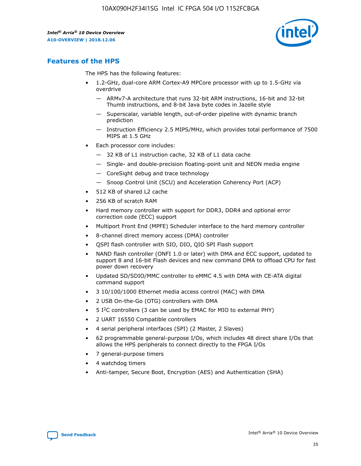

## **Features of the HPS**

The HPS has the following features:

- 1.2-GHz, dual-core ARM Cortex-A9 MPCore processor with up to 1.5-GHz via overdrive
	- ARMv7-A architecture that runs 32-bit ARM instructions, 16-bit and 32-bit Thumb instructions, and 8-bit Java byte codes in Jazelle style
	- Superscalar, variable length, out-of-order pipeline with dynamic branch prediction
	- Instruction Efficiency 2.5 MIPS/MHz, which provides total performance of 7500 MIPS at 1.5 GHz
- Each processor core includes:
	- 32 KB of L1 instruction cache, 32 KB of L1 data cache
	- Single- and double-precision floating-point unit and NEON media engine
	- CoreSight debug and trace technology
	- Snoop Control Unit (SCU) and Acceleration Coherency Port (ACP)
- 512 KB of shared L2 cache
- 256 KB of scratch RAM
- Hard memory controller with support for DDR3, DDR4 and optional error correction code (ECC) support
- Multiport Front End (MPFE) Scheduler interface to the hard memory controller
- 8-channel direct memory access (DMA) controller
- QSPI flash controller with SIO, DIO, QIO SPI Flash support
- NAND flash controller (ONFI 1.0 or later) with DMA and ECC support, updated to support 8 and 16-bit Flash devices and new command DMA to offload CPU for fast power down recovery
- Updated SD/SDIO/MMC controller to eMMC 4.5 with DMA with CE-ATA digital command support
- 3 10/100/1000 Ethernet media access control (MAC) with DMA
- 2 USB On-the-Go (OTG) controllers with DMA
- $\bullet$  5 I<sup>2</sup>C controllers (3 can be used by EMAC for MIO to external PHY)
- 2 UART 16550 Compatible controllers
- 4 serial peripheral interfaces (SPI) (2 Master, 2 Slaves)
- 62 programmable general-purpose I/Os, which includes 48 direct share I/Os that allows the HPS peripherals to connect directly to the FPGA I/Os
- 7 general-purpose timers
- 4 watchdog timers
- Anti-tamper, Secure Boot, Encryption (AES) and Authentication (SHA)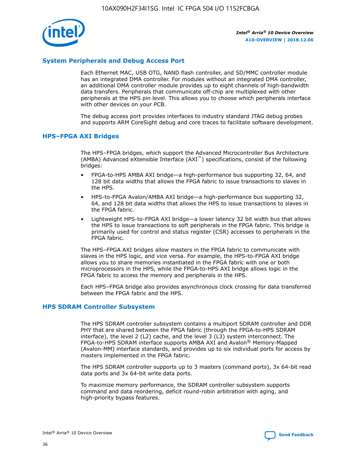

## **System Peripherals and Debug Access Port**

Each Ethernet MAC, USB OTG, NAND flash controller, and SD/MMC controller module has an integrated DMA controller. For modules without an integrated DMA controller, an additional DMA controller module provides up to eight channels of high-bandwidth data transfers. Peripherals that communicate off-chip are multiplexed with other peripherals at the HPS pin level. This allows you to choose which peripherals interface with other devices on your PCB.

The debug access port provides interfaces to industry standard JTAG debug probes and supports ARM CoreSight debug and core traces to facilitate software development.

## **HPS–FPGA AXI Bridges**

The HPS–FPGA bridges, which support the Advanced Microcontroller Bus Architecture (AMBA) Advanced eXtensible Interface (AXI™) specifications, consist of the following bridges:

- FPGA-to-HPS AMBA AXI bridge—a high-performance bus supporting 32, 64, and 128 bit data widths that allows the FPGA fabric to issue transactions to slaves in the HPS.
- HPS-to-FPGA Avalon/AMBA AXI bridge—a high-performance bus supporting 32, 64, and 128 bit data widths that allows the HPS to issue transactions to slaves in the FPGA fabric.
- Lightweight HPS-to-FPGA AXI bridge—a lower latency 32 bit width bus that allows the HPS to issue transactions to soft peripherals in the FPGA fabric. This bridge is primarily used for control and status register (CSR) accesses to peripherals in the FPGA fabric.

The HPS–FPGA AXI bridges allow masters in the FPGA fabric to communicate with slaves in the HPS logic, and vice versa. For example, the HPS-to-FPGA AXI bridge allows you to share memories instantiated in the FPGA fabric with one or both microprocessors in the HPS, while the FPGA-to-HPS AXI bridge allows logic in the FPGA fabric to access the memory and peripherals in the HPS.

Each HPS–FPGA bridge also provides asynchronous clock crossing for data transferred between the FPGA fabric and the HPS.

### **HPS SDRAM Controller Subsystem**

The HPS SDRAM controller subsystem contains a multiport SDRAM controller and DDR PHY that are shared between the FPGA fabric (through the FPGA-to-HPS SDRAM interface), the level 2 (L2) cache, and the level 3 (L3) system interconnect. The FPGA-to-HPS SDRAM interface supports AMBA AXI and Avalon® Memory-Mapped (Avalon-MM) interface standards, and provides up to six individual ports for access by masters implemented in the FPGA fabric.

The HPS SDRAM controller supports up to 3 masters (command ports), 3x 64-bit read data ports and 3x 64-bit write data ports.

To maximize memory performance, the SDRAM controller subsystem supports command and data reordering, deficit round-robin arbitration with aging, and high-priority bypass features.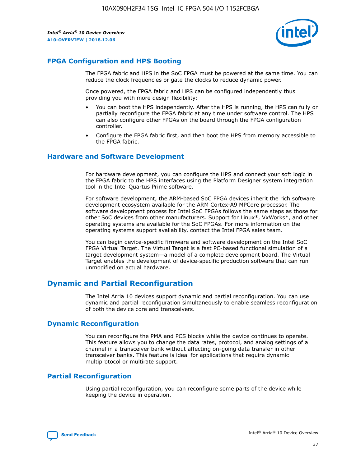

## **FPGA Configuration and HPS Booting**

The FPGA fabric and HPS in the SoC FPGA must be powered at the same time. You can reduce the clock frequencies or gate the clocks to reduce dynamic power.

Once powered, the FPGA fabric and HPS can be configured independently thus providing you with more design flexibility:

- You can boot the HPS independently. After the HPS is running, the HPS can fully or partially reconfigure the FPGA fabric at any time under software control. The HPS can also configure other FPGAs on the board through the FPGA configuration controller.
- Configure the FPGA fabric first, and then boot the HPS from memory accessible to the FPGA fabric.

## **Hardware and Software Development**

For hardware development, you can configure the HPS and connect your soft logic in the FPGA fabric to the HPS interfaces using the Platform Designer system integration tool in the Intel Quartus Prime software.

For software development, the ARM-based SoC FPGA devices inherit the rich software development ecosystem available for the ARM Cortex-A9 MPCore processor. The software development process for Intel SoC FPGAs follows the same steps as those for other SoC devices from other manufacturers. Support for Linux\*, VxWorks\*, and other operating systems are available for the SoC FPGAs. For more information on the operating systems support availability, contact the Intel FPGA sales team.

You can begin device-specific firmware and software development on the Intel SoC FPGA Virtual Target. The Virtual Target is a fast PC-based functional simulation of a target development system—a model of a complete development board. The Virtual Target enables the development of device-specific production software that can run unmodified on actual hardware.

## **Dynamic and Partial Reconfiguration**

The Intel Arria 10 devices support dynamic and partial reconfiguration. You can use dynamic and partial reconfiguration simultaneously to enable seamless reconfiguration of both the device core and transceivers.

## **Dynamic Reconfiguration**

You can reconfigure the PMA and PCS blocks while the device continues to operate. This feature allows you to change the data rates, protocol, and analog settings of a channel in a transceiver bank without affecting on-going data transfer in other transceiver banks. This feature is ideal for applications that require dynamic multiprotocol or multirate support.

## **Partial Reconfiguration**

Using partial reconfiguration, you can reconfigure some parts of the device while keeping the device in operation.

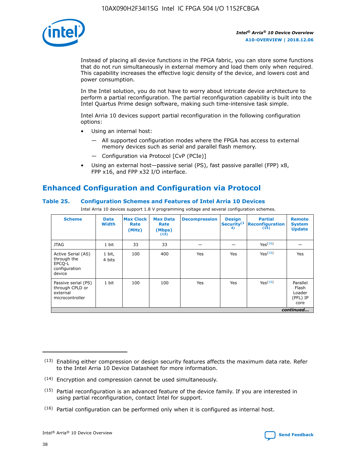

Instead of placing all device functions in the FPGA fabric, you can store some functions that do not run simultaneously in external memory and load them only when required. This capability increases the effective logic density of the device, and lowers cost and power consumption.

In the Intel solution, you do not have to worry about intricate device architecture to perform a partial reconfiguration. The partial reconfiguration capability is built into the Intel Quartus Prime design software, making such time-intensive task simple.

Intel Arria 10 devices support partial reconfiguration in the following configuration options:

- Using an internal host:
	- All supported configuration modes where the FPGA has access to external memory devices such as serial and parallel flash memory.
	- Configuration via Protocol [CvP (PCIe)]
- Using an external host—passive serial (PS), fast passive parallel (FPP) x8, FPP x16, and FPP x32 I/O interface.

# **Enhanced Configuration and Configuration via Protocol**

## **Table 25. Configuration Schemes and Features of Intel Arria 10 Devices**

Intel Arria 10 devices support 1.8 V programming voltage and several configuration schemes.

| <b>Scheme</b>                                                          | <b>Data</b><br><b>Width</b> | <b>Max Clock</b><br>Rate<br>(MHz) | <b>Max Data</b><br>Rate<br>(Mbps)<br>(13) | <b>Decompression</b> | <b>Design</b><br>Security <sup>(1</sup><br>4) | <b>Partial</b><br><b>Reconfiguration</b><br>(15) | <b>Remote</b><br><b>System</b><br><b>Update</b> |
|------------------------------------------------------------------------|-----------------------------|-----------------------------------|-------------------------------------------|----------------------|-----------------------------------------------|--------------------------------------------------|-------------------------------------------------|
| <b>JTAG</b>                                                            | 1 bit                       | 33                                | 33                                        |                      |                                               | Yes(16)                                          |                                                 |
| Active Serial (AS)<br>through the<br>EPCO-L<br>configuration<br>device | 1 bit,<br>4 bits            | 100                               | 400                                       | Yes                  | Yes                                           | $Y_{PS}(16)$                                     | Yes                                             |
| Passive serial (PS)<br>through CPLD or<br>external<br>microcontroller  | 1 bit                       | 100                               | 100                                       | Yes                  | Yes                                           | Yes(16)                                          | Parallel<br>Flash<br>Loader<br>(PFL) IP<br>core |
|                                                                        |                             |                                   |                                           |                      |                                               |                                                  | continued                                       |

<sup>(13)</sup> Enabling either compression or design security features affects the maximum data rate. Refer to the Intel Arria 10 Device Datasheet for more information.

<sup>(14)</sup> Encryption and compression cannot be used simultaneously.

 $<sup>(15)</sup>$  Partial reconfiguration is an advanced feature of the device family. If you are interested in</sup> using partial reconfiguration, contact Intel for support.

 $(16)$  Partial configuration can be performed only when it is configured as internal host.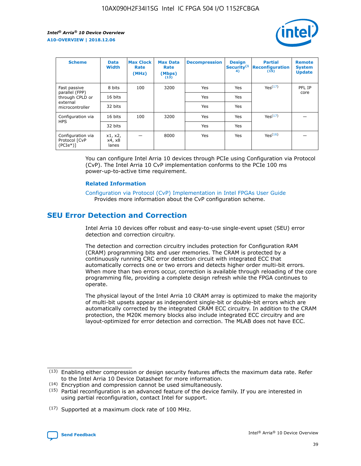

| <b>Scheme</b>                                   | <b>Data</b><br><b>Width</b> | <b>Max Clock</b><br>Rate<br>(MHz) | <b>Max Data</b><br>Rate<br>(Mbps)<br>(13) | <b>Decompression</b> | <b>Design</b><br>Security <sup>(1</sup><br>4) | <b>Partial</b><br><b>Reconfiguration</b><br>(15) | <b>Remote</b><br><b>System</b><br><b>Update</b> |
|-------------------------------------------------|-----------------------------|-----------------------------------|-------------------------------------------|----------------------|-----------------------------------------------|--------------------------------------------------|-------------------------------------------------|
| Fast passive                                    | 8 bits                      | 100                               | 3200                                      | <b>Yes</b>           | Yes                                           | Yes(17)                                          | PFL IP                                          |
| parallel (FPP)<br>through CPLD or               | 16 bits                     |                                   |                                           | Yes                  | Yes                                           |                                                  | core                                            |
| external<br>microcontroller                     | 32 bits                     |                                   |                                           | Yes                  | Yes                                           |                                                  |                                                 |
| Configuration via                               | 16 bits                     | 100                               | 3200                                      | Yes                  | Yes                                           | Yes <sup>(17)</sup>                              |                                                 |
| <b>HPS</b>                                      | 32 bits                     |                                   |                                           | Yes                  | Yes                                           |                                                  |                                                 |
| Configuration via<br>Protocol [CvP<br>$(PCIe*)$ | x1, x2,<br>x4, x8<br>lanes  |                                   | 8000                                      | Yes                  | Yes                                           | Yes <sup>(16)</sup>                              |                                                 |

You can configure Intel Arria 10 devices through PCIe using Configuration via Protocol (CvP). The Intel Arria 10 CvP implementation conforms to the PCIe 100 ms power-up-to-active time requirement.

### **Related Information**

[Configuration via Protocol \(CvP\) Implementation in Intel FPGAs User Guide](https://www.intel.com/content/www/us/en/programmable/documentation/dsu1441819344145.html#dsu1442269728522) Provides more information about the CvP configuration scheme.

## **SEU Error Detection and Correction**

Intel Arria 10 devices offer robust and easy-to-use single-event upset (SEU) error detection and correction circuitry.

The detection and correction circuitry includes protection for Configuration RAM (CRAM) programming bits and user memories. The CRAM is protected by a continuously running CRC error detection circuit with integrated ECC that automatically corrects one or two errors and detects higher order multi-bit errors. When more than two errors occur, correction is available through reloading of the core programming file, providing a complete design refresh while the FPGA continues to operate.

The physical layout of the Intel Arria 10 CRAM array is optimized to make the majority of multi-bit upsets appear as independent single-bit or double-bit errors which are automatically corrected by the integrated CRAM ECC circuitry. In addition to the CRAM protection, the M20K memory blocks also include integrated ECC circuitry and are layout-optimized for error detection and correction. The MLAB does not have ECC.

(14) Encryption and compression cannot be used simultaneously.

<sup>(17)</sup> Supported at a maximum clock rate of 100 MHz.



 $(13)$  Enabling either compression or design security features affects the maximum data rate. Refer to the Intel Arria 10 Device Datasheet for more information.

 $(15)$  Partial reconfiguration is an advanced feature of the device family. If you are interested in using partial reconfiguration, contact Intel for support.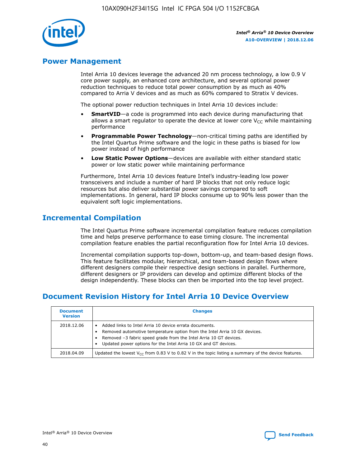

## **Power Management**

Intel Arria 10 devices leverage the advanced 20 nm process technology, a low 0.9 V core power supply, an enhanced core architecture, and several optional power reduction techniques to reduce total power consumption by as much as 40% compared to Arria V devices and as much as 60% compared to Stratix V devices.

The optional power reduction techniques in Intel Arria 10 devices include:

- **SmartVID**—a code is programmed into each device during manufacturing that allows a smart regulator to operate the device at lower core  $V_{CC}$  while maintaining performance
- **Programmable Power Technology**—non-critical timing paths are identified by the Intel Quartus Prime software and the logic in these paths is biased for low power instead of high performance
- **Low Static Power Options**—devices are available with either standard static power or low static power while maintaining performance

Furthermore, Intel Arria 10 devices feature Intel's industry-leading low power transceivers and include a number of hard IP blocks that not only reduce logic resources but also deliver substantial power savings compared to soft implementations. In general, hard IP blocks consume up to 90% less power than the equivalent soft logic implementations.

## **Incremental Compilation**

The Intel Quartus Prime software incremental compilation feature reduces compilation time and helps preserve performance to ease timing closure. The incremental compilation feature enables the partial reconfiguration flow for Intel Arria 10 devices.

Incremental compilation supports top-down, bottom-up, and team-based design flows. This feature facilitates modular, hierarchical, and team-based design flows where different designers compile their respective design sections in parallel. Furthermore, different designers or IP providers can develop and optimize different blocks of the design independently. These blocks can then be imported into the top level project.

# **Document Revision History for Intel Arria 10 Device Overview**

| <b>Document</b><br><b>Version</b> | <b>Changes</b>                                                                                                                                                                                                                                                              |
|-----------------------------------|-----------------------------------------------------------------------------------------------------------------------------------------------------------------------------------------------------------------------------------------------------------------------------|
| 2018.12.06                        | Added links to Intel Arria 10 device errata documents.<br>Removed automotive temperature option from the Intel Arria 10 GX devices.<br>Removed -3 fabric speed grade from the Intel Arria 10 GT devices.<br>Updated power options for the Intel Arria 10 GX and GT devices. |
| 2018.04.09                        | Updated the lowest $V_{CC}$ from 0.83 V to 0.82 V in the topic listing a summary of the device features.                                                                                                                                                                    |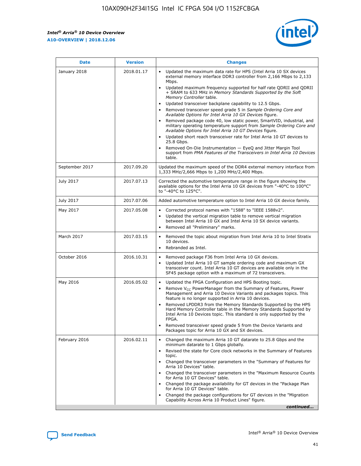

| <b>Date</b>    | <b>Version</b> | <b>Changes</b>                                                                                                                                                                                                                                                                                                                                                                                                                                                                                                                                                                                                                                                                                                                                                                                                                                                                                                                                               |
|----------------|----------------|--------------------------------------------------------------------------------------------------------------------------------------------------------------------------------------------------------------------------------------------------------------------------------------------------------------------------------------------------------------------------------------------------------------------------------------------------------------------------------------------------------------------------------------------------------------------------------------------------------------------------------------------------------------------------------------------------------------------------------------------------------------------------------------------------------------------------------------------------------------------------------------------------------------------------------------------------------------|
| January 2018   | 2018.01.17     | Updated the maximum data rate for HPS (Intel Arria 10 SX devices<br>external memory interface DDR3 controller from 2,166 Mbps to 2,133<br>Mbps.<br>Updated maximum frequency supported for half rate QDRII and QDRII<br>+ SRAM to 633 MHz in Memory Standards Supported by the Soft<br>Memory Controller table.<br>Updated transceiver backplane capability to 12.5 Gbps.<br>Removed transceiver speed grade 5 in Sample Ordering Core and<br>Available Options for Intel Arria 10 GX Devices figure.<br>Removed package code 40, low static power, SmartVID, industrial, and<br>military operating temperature support from Sample Ordering Core and<br>Available Options for Intel Arria 10 GT Devices figure.<br>Updated short reach transceiver rate for Intel Arria 10 GT devices to<br>25.8 Gbps.<br>Removed On-Die Instrumentation - EyeQ and Jitter Margin Tool<br>support from PMA Features of the Transceivers in Intel Arria 10 Devices<br>table. |
| September 2017 | 2017.09.20     | Updated the maximum speed of the DDR4 external memory interface from<br>1,333 MHz/2,666 Mbps to 1,200 MHz/2,400 Mbps.                                                                                                                                                                                                                                                                                                                                                                                                                                                                                                                                                                                                                                                                                                                                                                                                                                        |
| July 2017      | 2017.07.13     | Corrected the automotive temperature range in the figure showing the<br>available options for the Intel Arria 10 GX devices from "-40°C to 100°C"<br>to "-40°C to 125°C".                                                                                                                                                                                                                                                                                                                                                                                                                                                                                                                                                                                                                                                                                                                                                                                    |
| July 2017      | 2017.07.06     | Added automotive temperature option to Intel Arria 10 GX device family.                                                                                                                                                                                                                                                                                                                                                                                                                                                                                                                                                                                                                                                                                                                                                                                                                                                                                      |
| May 2017       | 2017.05.08     | Corrected protocol names with "1588" to "IEEE 1588v2".<br>$\bullet$<br>Updated the vertical migration table to remove vertical migration<br>$\bullet$<br>between Intel Arria 10 GX and Intel Arria 10 SX device variants.<br>Removed all "Preliminary" marks.<br>$\bullet$                                                                                                                                                                                                                                                                                                                                                                                                                                                                                                                                                                                                                                                                                   |
| March 2017     | 2017.03.15     | Removed the topic about migration from Intel Arria 10 to Intel Stratix<br>$\bullet$<br>10 devices.<br>Rebranded as Intel.<br>$\bullet$                                                                                                                                                                                                                                                                                                                                                                                                                                                                                                                                                                                                                                                                                                                                                                                                                       |
| October 2016   | 2016.10.31     | Removed package F36 from Intel Arria 10 GX devices.<br>Updated Intel Arria 10 GT sample ordering code and maximum GX<br>$\bullet$<br>transceiver count. Intel Arria 10 GT devices are available only in the<br>SF45 package option with a maximum of 72 transceivers.                                                                                                                                                                                                                                                                                                                                                                                                                                                                                                                                                                                                                                                                                        |
| May 2016       | 2016.05.02     | Updated the FPGA Configuration and HPS Booting topic.<br>$\bullet$<br>Remove V <sub>CC</sub> PowerManager from the Summary of Features, Power<br>Management and Arria 10 Device Variants and packages topics. This<br>feature is no longer supported in Arria 10 devices.<br>Removed LPDDR3 from the Memory Standards Supported by the HPS<br>Hard Memory Controller table in the Memory Standards Supported by<br>Intel Arria 10 Devices topic. This standard is only supported by the<br><b>FPGA</b><br>Removed transceiver speed grade 5 from the Device Variants and<br>Packages topic for Arria 10 GX and SX devices.                                                                                                                                                                                                                                                                                                                                   |
| February 2016  | 2016.02.11     | Changed the maximum Arria 10 GT datarate to 25.8 Gbps and the<br>$\bullet$<br>minimum datarate to 1 Gbps globally.<br>Revised the state for Core clock networks in the Summary of Features<br>$\bullet$<br>topic.<br>Changed the transceiver parameters in the "Summary of Features for<br>$\bullet$<br>Arria 10 Devices" table.<br>Changed the transceiver parameters in the "Maximum Resource Counts<br>for Arria 10 GT Devices" table.<br>Changed the package availability for GT devices in the "Package Plan<br>for Arria 10 GT Devices" table.<br>Changed the package configurations for GT devices in the "Migration"<br>Capability Across Arria 10 Product Lines" figure.<br>continued                                                                                                                                                                                                                                                               |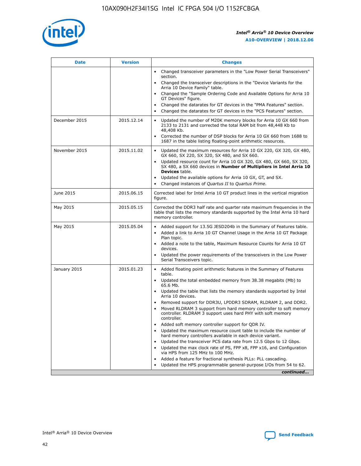

| <b>Date</b>   | <b>Version</b> | <b>Changes</b>                                                                                                                                                               |
|---------------|----------------|------------------------------------------------------------------------------------------------------------------------------------------------------------------------------|
|               |                | Changed transceiver parameters in the "Low Power Serial Transceivers"<br>$\bullet$<br>section.                                                                               |
|               |                | • Changed the transceiver descriptions in the "Device Variants for the<br>Arria 10 Device Family" table.                                                                     |
|               |                | • Changed the "Sample Ordering Code and Available Options for Arria 10<br>GT Devices" figure.                                                                                |
|               |                | Changed the datarates for GT devices in the "PMA Features" section.                                                                                                          |
|               |                | Changed the datarates for GT devices in the "PCS Features" section.<br>$\bullet$                                                                                             |
| December 2015 | 2015.12.14     | Updated the number of M20K memory blocks for Arria 10 GX 660 from<br>2133 to 2131 and corrected the total RAM bit from 48,448 Kb to<br>48,408 Kb.                            |
|               |                | Corrected the number of DSP blocks for Arria 10 GX 660 from 1688 to<br>$\bullet$<br>1687 in the table listing floating-point arithmetic resources.                           |
| November 2015 | 2015.11.02     | Updated the maximum resources for Arria 10 GX 220, GX 320, GX 480,<br>GX 660, SX 220, SX 320, SX 480, and SX 660.                                                            |
|               |                | Updated resource count for Arria 10 GX 320, GX 480, GX 660, SX 320,<br>SX 480, a SX 660 devices in Number of Multipliers in Intel Arria 10<br><b>Devices</b> table.          |
|               |                | Updated the available options for Arria 10 GX, GT, and SX.<br>$\bullet$                                                                                                      |
|               |                | Changed instances of Quartus II to Quartus Prime.<br>$\bullet$                                                                                                               |
| June 2015     | 2015.06.15     | Corrected label for Intel Arria 10 GT product lines in the vertical migration<br>figure.                                                                                     |
| May 2015      | 2015.05.15     | Corrected the DDR3 half rate and quarter rate maximum frequencies in the<br>table that lists the memory standards supported by the Intel Arria 10 hard<br>memory controller. |
| May 2015      | 2015.05.04     | • Added support for 13.5G JESD204b in the Summary of Features table.                                                                                                         |
|               |                | Added a link to Arria 10 GT Channel Usage in the Arria 10 GT Package<br>$\bullet$<br>Plan topic.                                                                             |
|               |                | • Added a note to the table, Maximum Resource Counts for Arria 10 GT<br>devices.                                                                                             |
|               |                | • Updated the power requirements of the transceivers in the Low Power<br>Serial Transceivers topic.                                                                          |
| January 2015  | 2015.01.23     | • Added floating point arithmetic features in the Summary of Features<br>table.                                                                                              |
|               |                | • Updated the total embedded memory from 38.38 megabits (Mb) to<br>65.6 Mb.                                                                                                  |
|               |                | • Updated the table that lists the memory standards supported by Intel<br>Arria 10 devices.                                                                                  |
|               |                | Removed support for DDR3U, LPDDR3 SDRAM, RLDRAM 2, and DDR2.                                                                                                                 |
|               |                | Moved RLDRAM 3 support from hard memory controller to soft memory<br>controller. RLDRAM 3 support uses hard PHY with soft memory<br>controller.                              |
|               |                | Added soft memory controller support for QDR IV.                                                                                                                             |
|               |                | Updated the maximum resource count table to include the number of<br>hard memory controllers available in each device variant.                                               |
|               |                | Updated the transceiver PCS data rate from 12.5 Gbps to 12 Gbps.                                                                                                             |
|               |                | Updated the max clock rate of PS, FPP x8, FPP x16, and Configuration<br>via HPS from 125 MHz to 100 MHz.                                                                     |
|               |                | Added a feature for fractional synthesis PLLs: PLL cascading.                                                                                                                |
|               |                | Updated the HPS programmable general-purpose I/Os from 54 to 62.<br>$\bullet$                                                                                                |
|               |                | continued                                                                                                                                                                    |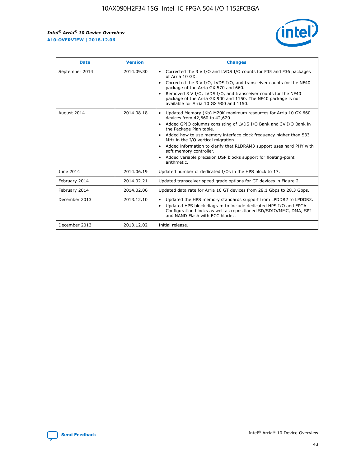r



| <b>Date</b>    | <b>Version</b> | <b>Changes</b>                                                                                                                                                                                                                                                                                                                                                                                                                                                                                                                                      |
|----------------|----------------|-----------------------------------------------------------------------------------------------------------------------------------------------------------------------------------------------------------------------------------------------------------------------------------------------------------------------------------------------------------------------------------------------------------------------------------------------------------------------------------------------------------------------------------------------------|
| September 2014 | 2014.09.30     | Corrected the 3 V I/O and LVDS I/O counts for F35 and F36 packages<br>$\bullet$<br>of Arria 10 GX.<br>Corrected the 3 V I/O, LVDS I/O, and transceiver counts for the NF40<br>$\bullet$<br>package of the Arria GX 570 and 660.<br>Removed 3 V I/O, LVDS I/O, and transceiver counts for the NF40<br>package of the Arria GX 900 and 1150. The NF40 package is not<br>available for Arria 10 GX 900 and 1150.                                                                                                                                       |
| August 2014    | 2014.08.18     | Updated Memory (Kb) M20K maximum resources for Arria 10 GX 660<br>devices from 42,660 to 42,620.<br>Added GPIO columns consisting of LVDS I/O Bank and 3V I/O Bank in<br>$\bullet$<br>the Package Plan table.<br>Added how to use memory interface clock frequency higher than 533<br>$\bullet$<br>MHz in the I/O vertical migration.<br>Added information to clarify that RLDRAM3 support uses hard PHY with<br>$\bullet$<br>soft memory controller.<br>Added variable precision DSP blocks support for floating-point<br>$\bullet$<br>arithmetic. |
| June 2014      | 2014.06.19     | Updated number of dedicated I/Os in the HPS block to 17.                                                                                                                                                                                                                                                                                                                                                                                                                                                                                            |
| February 2014  | 2014.02.21     | Updated transceiver speed grade options for GT devices in Figure 2.                                                                                                                                                                                                                                                                                                                                                                                                                                                                                 |
| February 2014  | 2014.02.06     | Updated data rate for Arria 10 GT devices from 28.1 Gbps to 28.3 Gbps.                                                                                                                                                                                                                                                                                                                                                                                                                                                                              |
| December 2013  | 2013.12.10     | Updated the HPS memory standards support from LPDDR2 to LPDDR3.<br>Updated HPS block diagram to include dedicated HPS I/O and FPGA<br>$\bullet$<br>Configuration blocks as well as repositioned SD/SDIO/MMC, DMA, SPI<br>and NAND Flash with ECC blocks.                                                                                                                                                                                                                                                                                            |
| December 2013  | 2013.12.02     | Initial release.                                                                                                                                                                                                                                                                                                                                                                                                                                                                                                                                    |